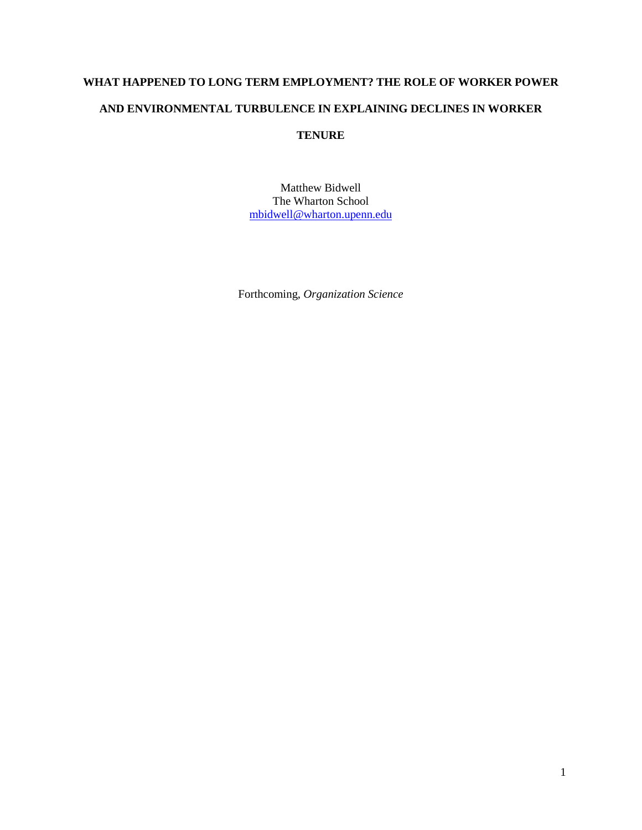# **WHAT HAPPENED TO LONG TERM EMPLOYMENT? THE ROLE OF WORKER POWER AND ENVIRONMENTAL TURBULENCE IN EXPLAINING DECLINES IN WORKER TENURE**

Matthew Bidwell The Wharton School [mbidwell@wharton.upenn.edu](mailto:mbidwell@wharton.upenn.edu)

Forthcoming, *Organization Science*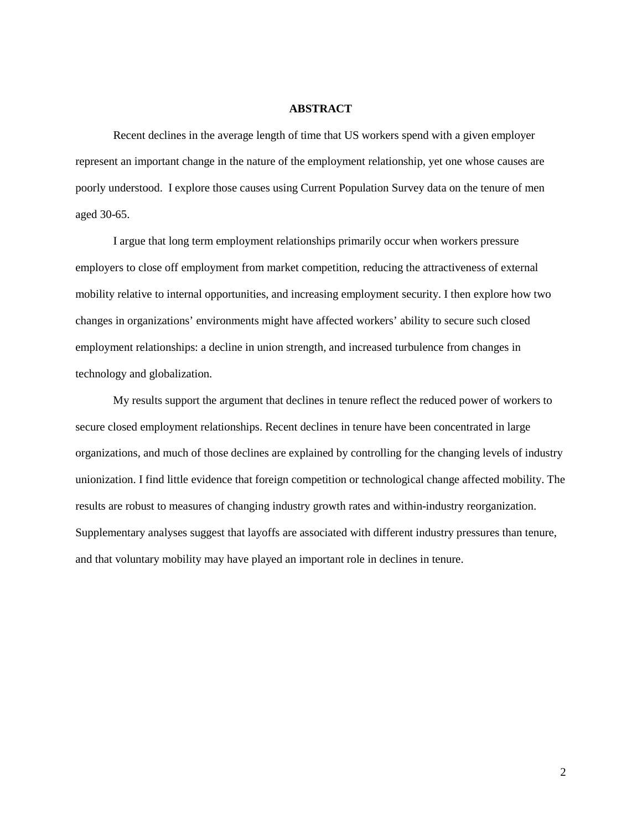## **ABSTRACT**

Recent declines in the average length of time that US workers spend with a given employer represent an important change in the nature of the employment relationship, yet one whose causes are poorly understood. I explore those causes using Current Population Survey data on the tenure of men aged 30-65.

I argue that long term employment relationships primarily occur when workers pressure employers to close off employment from market competition, reducing the attractiveness of external mobility relative to internal opportunities, and increasing employment security. I then explore how two changes in organizations' environments might have affected workers' ability to secure such closed employment relationships: a decline in union strength, and increased turbulence from changes in technology and globalization.

My results support the argument that declines in tenure reflect the reduced power of workers to secure closed employment relationships. Recent declines in tenure have been concentrated in large organizations, and much of those declines are explained by controlling for the changing levels of industry unionization. I find little evidence that foreign competition or technological change affected mobility. The results are robust to measures of changing industry growth rates and within-industry reorganization. Supplementary analyses suggest that layoffs are associated with different industry pressures than tenure, and that voluntary mobility may have played an important role in declines in tenure.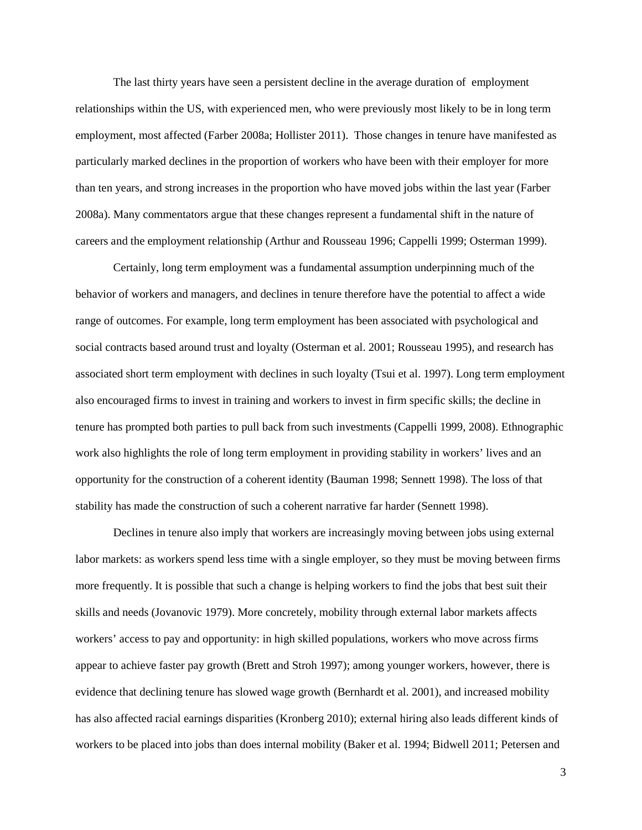The last thirty years have seen a persistent decline in the average duration of employment relationships within the US, with experienced men, who were previously most likely to be in long term employment, most affected [\(Farber 2008a;](#page-36-0) [Hollister 2011\)](#page-36-1). Those changes in tenure have manifested as particularly marked declines in the proportion of workers who have been with their employer for more than ten years, and strong increases in the proportion who have moved jobs within the last year [\(Farber](#page-36-0)  [2008a\)](#page-36-0). Many commentators argue that these changes represent a fundamental shift in the nature of careers and the employment relationship [\(Arthur and Rousseau 1996;](#page-35-0) [Cappelli 1999;](#page-35-1) [Osterman 1999\)](#page-37-0).

Certainly, long term employment was a fundamental assumption underpinning much of the behavior of workers and managers, and declines in tenure therefore have the potential to affect a wide range of outcomes. For example, long term employment has been associated with psychological and social contracts based around trust and loyalty [\(Osterman et al. 2001;](#page-37-1) [Rousseau 1995\)](#page-37-2), and research has associated short term employment with declines in such loyalty [\(Tsui et al. 1997\)](#page-38-0). Long term employment also encouraged firms to invest in training and workers to invest in firm specific skills; the decline in tenure has prompted both parties to pull back from such investments [\(Cappelli 1999,](#page-35-1) [2008\)](#page-36-2). Ethnographic work also highlights the role of long term employment in providing stability in workers' lives and an opportunity for the construction of a coherent identity [\(Bauman 1998;](#page-35-2) [Sennett 1998\)](#page-37-3). The loss of that stability has made the construction of such a coherent narrative far harder [\(Sennett 1998\)](#page-37-3).

Declines in tenure also imply that workers are increasingly moving between jobs using external labor markets: as workers spend less time with a single employer, so they must be moving between firms more frequently. It is possible that such a change is helping workers to find the jobs that best suit their skills and needs [\(Jovanovic 1979\)](#page-37-4). More concretely, mobility through external labor markets affects workers' access to pay and opportunity: in high skilled populations, workers who move across firms appear to achieve faster pay growth [\(Brett and Stroh 1997\)](#page-35-3); among younger workers, however, there is evidence that declining tenure has slowed wage growth [\(Bernhardt et al. 2001\)](#page-35-4), and increased mobility has also affected racial earnings disparities [\(Kronberg 2010\)](#page-37-5); external hiring also leads different kinds of workers to be placed into jobs than does internal mobility [\(Baker et al. 1994;](#page-35-5) [Bidwell 2011;](#page-35-6) [Petersen and](#page-37-6)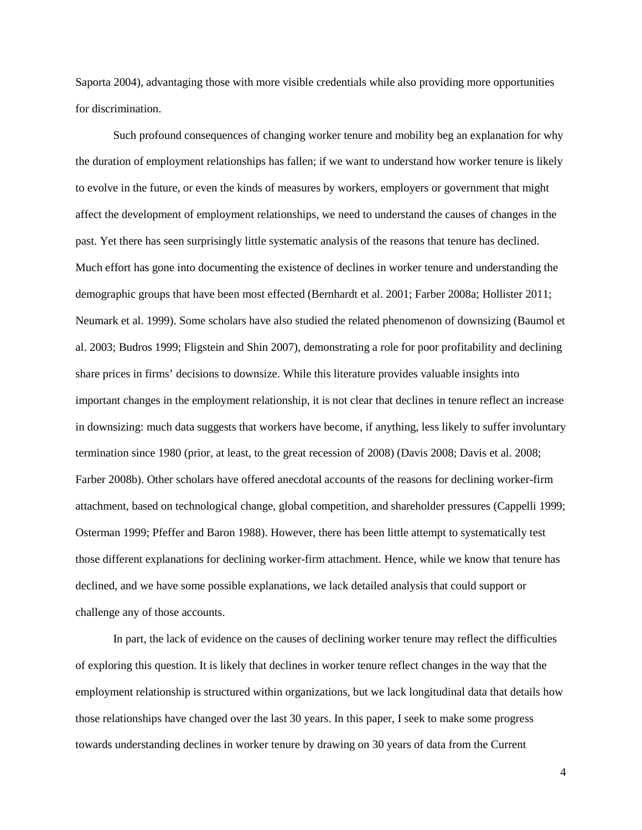Saporta 2004), advantaging those with more visible credentials while also providing more opportunities for discrimination.

Such profound consequences of changing worker tenure and mobility beg an explanation for why the duration of employment relationships has fallen; if we want to understand how worker tenure is likely to evolve in the future, or even the kinds of measures by workers, employers or government that might affect the development of employment relationships, we need to understand the causes of changes in the past. Yet there has seen surprisingly little systematic analysis of the reasons that tenure has declined. Much effort has gone into documenting the existence of declines in worker tenure and understanding the demographic groups that have been most effected [\(Bernhardt et al. 2001;](#page-35-4) [Farber 2008a;](#page-36-0) [Hollister 2011;](#page-36-1) [Neumark et al. 1999\)](#page-37-7). Some scholars have also studied the related phenomenon of downsizing [\(Baumol et](#page-35-7)  [al. 2003;](#page-35-7) [Budros 1999;](#page-35-8) [Fligstein and Shin 2007\)](#page-36-3), demonstrating a role for poor profitability and declining share prices in firms' decisions to downsize. While this literature provides valuable insights into important changes in the employment relationship, it is not clear that declines in tenure reflect an increase in downsizing: much data suggests that workers have become, if anything, less likely to suffer involuntary termination since 1980 (prior, at least, to the great recession of 2008) [\(Davis 2008;](#page-36-4) [Davis et al. 2008;](#page-36-5) [Farber 2008b\)](#page-36-6). Other scholars have offered anecdotal accounts of the reasons for declining worker-firm attachment, based on technological change, global competition, and shareholder pressures [\(Cappelli 1999;](#page-35-1) [Osterman 1999;](#page-37-0) [Pfeffer and Baron 1988\)](#page-37-8). However, there has been little attempt to systematically test those different explanations for declining worker-firm attachment. Hence, while we know that tenure has declined, and we have some possible explanations, we lack detailed analysis that could support or challenge any of those accounts.

In part, the lack of evidence on the causes of declining worker tenure may reflect the difficulties of exploring this question. It is likely that declines in worker tenure reflect changes in the way that the employment relationship is structured within organizations, but we lack longitudinal data that details how those relationships have changed over the last 30 years. In this paper, I seek to make some progress towards understanding declines in worker tenure by drawing on 30 years of data from the Current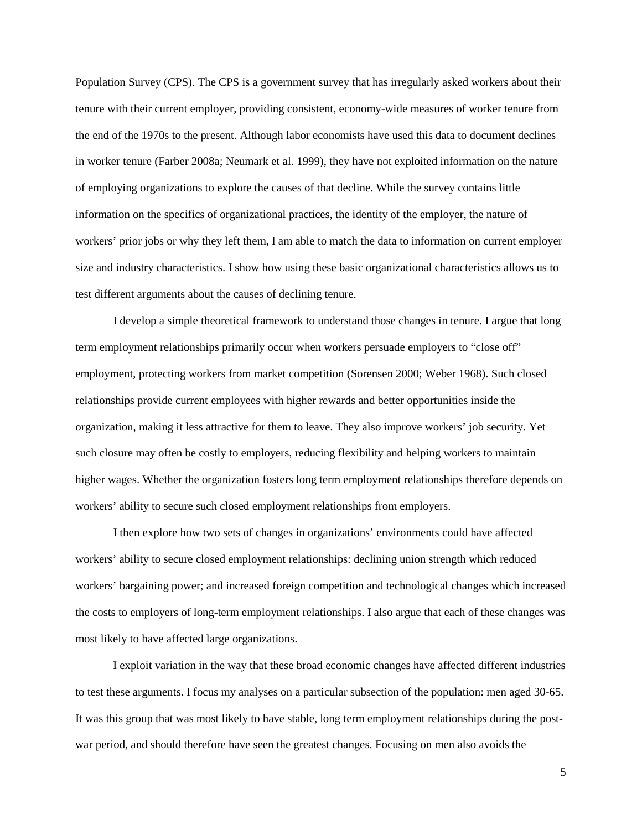Population Survey (CPS). The CPS is a government survey that has irregularly asked workers about their tenure with their current employer, providing consistent, economy-wide measures of worker tenure from the end of the 1970s to the present. Although labor economists have used this data to document declines in worker tenure [\(Farber 2008a;](#page-36-0) [Neumark et al. 1999\)](#page-37-7), they have not exploited information on the nature of employing organizations to explore the causes of that decline. While the survey contains little information on the specifics of organizational practices, the identity of the employer, the nature of workers' prior jobs or why they left them, I am able to match the data to information on current employer size and industry characteristics. I show how using these basic organizational characteristics allows us to test different arguments about the causes of declining tenure.

I develop a simple theoretical framework to understand those changes in tenure. I argue that long term employment relationships primarily occur when workers persuade employers to "close off" employment, protecting workers from market competition [\(Sorensen 2000;](#page-38-1) [Weber 1968\)](#page-38-2). Such closed relationships provide current employees with higher rewards and better opportunities inside the organization, making it less attractive for them to leave. They also improve workers' job security. Yet such closure may often be costly to employers, reducing flexibility and helping workers to maintain higher wages. Whether the organization fosters long term employment relationships therefore depends on workers' ability to secure such closed employment relationships from employers.

I then explore how two sets of changes in organizations' environments could have affected workers' ability to secure closed employment relationships: declining union strength which reduced workers' bargaining power; and increased foreign competition and technological changes which increased the costs to employers of long-term employment relationships. I also argue that each of these changes was most likely to have affected large organizations.

I exploit variation in the way that these broad economic changes have affected different industries to test these arguments. I focus my analyses on a particular subsection of the population: men aged 30-65. It was this group that was most likely to have stable, long term employment relationships during the postwar period, and should therefore have seen the greatest changes. Focusing on men also avoids the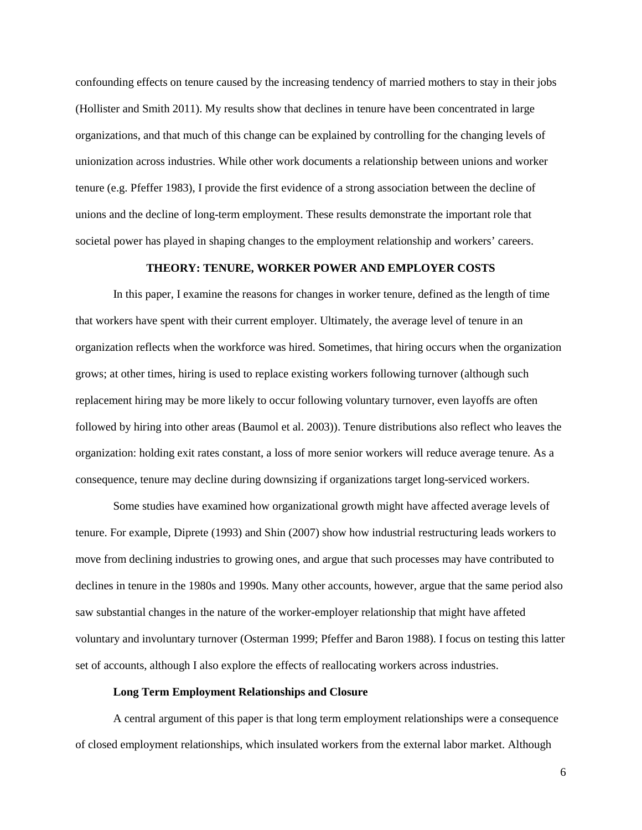confounding effects on tenure caused by the increasing tendency of married mothers to stay in their jobs [\(Hollister and Smith 2011\)](#page-36-7). My results show that declines in tenure have been concentrated in large organizations, and that much of this change can be explained by controlling for the changing levels of unionization across industries. While other work documents a relationship between unions and worker tenure [\(e.g. Pfeffer 1983\)](#page-37-9), I provide the first evidence of a strong association between the decline of unions and the decline of long-term employment. These results demonstrate the important role that societal power has played in shaping changes to the employment relationship and workers' careers.

#### **THEORY: TENURE, WORKER POWER AND EMPLOYER COSTS**

In this paper, I examine the reasons for changes in worker tenure, defined as the length of time that workers have spent with their current employer. Ultimately, the average level of tenure in an organization reflects when the workforce was hired. Sometimes, that hiring occurs when the organization grows; at other times, hiring is used to replace existing workers following turnover (although such replacement hiring may be more likely to occur following voluntary turnover, even layoffs are often followed by hiring into other areas [\(Baumol et al. 2003\)](#page-35-7)). Tenure distributions also reflect who leaves the organization: holding exit rates constant, a loss of more senior workers will reduce average tenure. As a consequence, tenure may decline during downsizing if organizations target long-serviced workers.

Some studies have examined how organizational growth might have affected average levels of tenure. For example, Diprete [\(1993\)](#page-36-8) and Shin [\(2007\)](#page-37-10) show how industrial restructuring leads workers to move from declining industries to growing ones, and argue that such processes may have contributed to declines in tenure in the 1980s and 1990s. Many other accounts, however, argue that the same period also saw substantial changes in the nature of the worker-employer relationship that might have affeted voluntary and involuntary turnover [\(Osterman 1999;](#page-37-0) [Pfeffer and Baron 1988\)](#page-37-8). I focus on testing this latter set of accounts, although I also explore the effects of reallocating workers across industries.

#### **Long Term Employment Relationships and Closure**

A central argument of this paper is that long term employment relationships were a consequence of closed employment relationships, which insulated workers from the external labor market. Although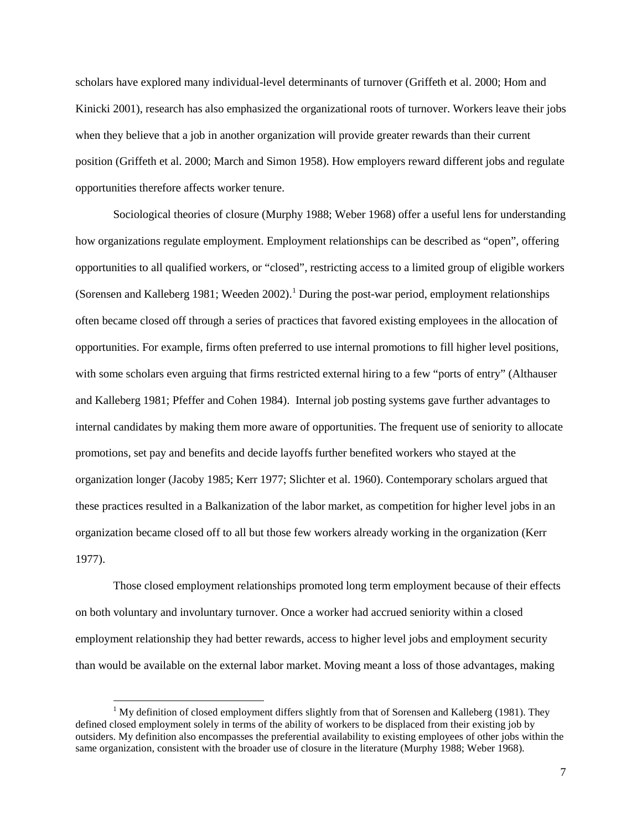scholars have explored many individual-level determinants of turnover [\(Griffeth et al. 2000;](#page-36-9) [Hom and](#page-37-11)  [Kinicki 2001\)](#page-37-11), research has also emphasized the organizational roots of turnover. Workers leave their jobs when they believe that a job in another organization will provide greater rewards than their current position [\(Griffeth et al. 2000;](#page-36-9) [March and Simon 1958\)](#page-37-12). How employers reward different jobs and regulate opportunities therefore affects worker tenure.

Sociological theories of closure [\(Murphy 1988;](#page-37-13) [Weber 1968\)](#page-38-2) offer a useful lens for understanding how organizations regulate employment. Employment relationships can be described as "open", offering opportunities to all qualified workers, or "closed", restricting access to a limited group of eligible workers [\(Sorensen and Kalleberg 1981;](#page-38-3) [Weeden 2002\)](#page-38-4). [1](#page-6-0) During the post-war period, employment relationships with some scholars even arguing that firms restricted external hiring to a few "ports of entry" (Althauser [and Kalleberg 1981](#page-35-9) ; [Pfeffer and Cohen 1984\)](#page-37-14). Internal job posting systems gave further advantages to often became closed off through a series of practices that favored existing employees in the allocation of opportunities. For example, firms often preferred to use internal promotions to fill higher level positions, internal candidates by making them more aware of opportunities. The frequent use of seniority to allocate promotions, set pay and benefits and decide layoffs further benefited workers who stayed at the organization longer [\(Jacoby 1985;](#page-37-15) [Kerr 1977;](#page-37-16) [Slichter et al. 1960\)](#page-38-5). Contemporary scholars argued that these practices resulted in a Balkanization of the labor market, as competition for higher level jobs in an organization became closed off to all but those few workers already working in the organization [\(Kerr](#page-37-16)  [1977\)](#page-37-16).

Those closed employment relationships promoted long term employment because of their effects on both voluntary and involuntary turnover. Once a worker had accrued seniority within a closed employment relationship they had better rewards, access to higher level jobs and employment security than would be available on the external labor market. Moving meant a loss of those advantages, making

<span id="page-6-0"></span><sup>&</sup>lt;sup>1</sup> My definition of closed employment differs slightly from that of Sorensen and Kalleberg [\(1981\)](#page-38-3). They defined closed employment solely in terms of the ability of workers to be displaced from their existing job by outsiders. My definition also encompasses the preferential availability to existing employees of other jobs within the same organization, consistent with the broader use of closure in the literature [\(Murphy 1988;](#page-37-13) [Weber 1968\)](#page-38-2).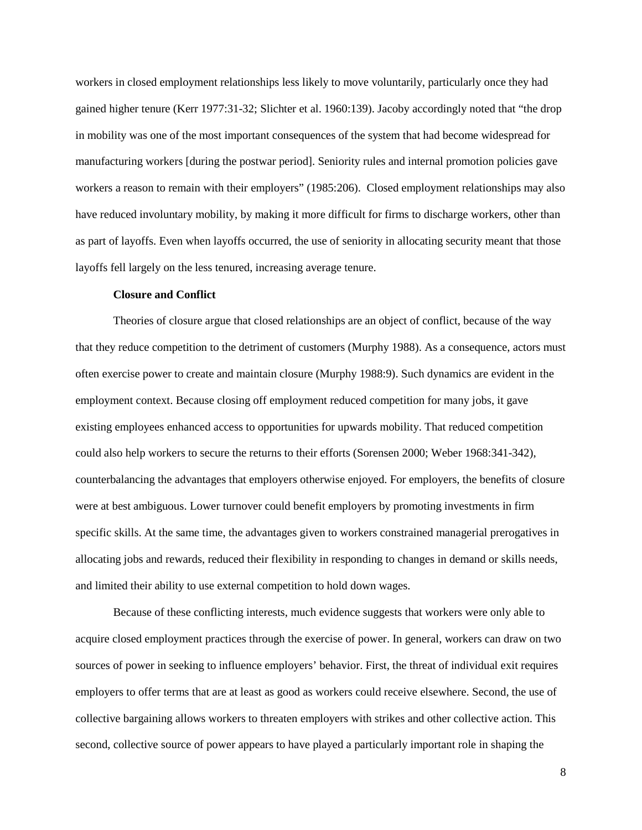workers in closed employment relationships less likely to move voluntarily, particularly once they had gained higher tenure [\(Kerr 1977:31-32;](#page-37-16) [Slichter et al. 1960:139\)](#page-38-5). Jacoby accordingly noted that "the drop in mobility was one of the most important consequences of the system that had become widespread for manufacturing workers [during the postwar period]. Seniority rules and internal promotion policies gave workers a reason to remain with their employers" [\(1985:206\)](#page-37-15). Closed employment relationships may also have reduced involuntary mobility, by making it more difficult for firms to discharge workers, other than as part of layoffs. Even when layoffs occurred, the use of seniority in allocating security meant that those layoffs fell largely on the less tenured, increasing average tenure.

## **Closure and Conflict**

Theories of closure argue that closed relationships are an object of conflict, because of the way that they reduce competition to the detriment of customers [\(Murphy 1988\)](#page-37-13). As a consequence, actors must often exercise power to create and maintain closure [\(Murphy 1988:9\)](#page-37-13). Such dynamics are evident in the employment context. Because closing off employment reduced competition for many jobs, it gave existing employees enhanced access to opportunities for upwards mobility. That reduced competition could also help workers to secure the returns to their efforts [\(Sorensen 2000;](#page-38-1) [Weber 1968:341-342\)](#page-38-2), counterbalancing the advantages that employers otherwise enjoyed. For employers, the benefits of closure were at best ambiguous. Lower turnover could benefit employers by promoting investments in firm specific skills. At the same time, the advantages given to workers constrained managerial prerogatives in allocating jobs and rewards, reduced their flexibility in responding to changes in demand or skills needs, and limited their ability to use external competition to hold down wages.

Because of these conflicting interests, much evidence suggests that workers were only able to acquire closed employment practices through the exercise of power. In general, workers can draw on two sources of power in seeking to influence employers' behavior. First, the threat of individual exit requires employers to offer terms that are at least as good as workers could receive elsewhere. Second, the use of collective bargaining allows workers to threaten employers with strikes and other collective action. This second, collective source of power appears to have played a particularly important role in shaping the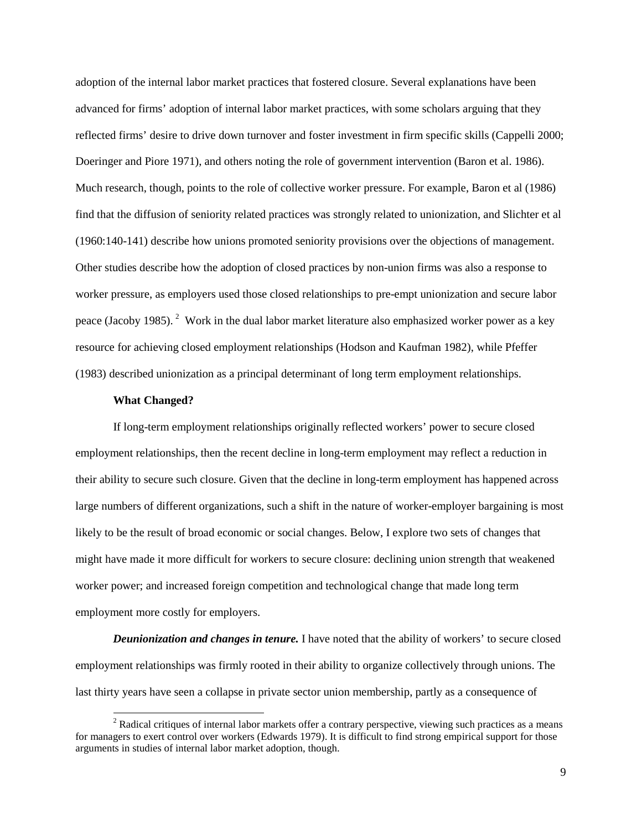adoption of the internal labor market practices that fostered closure. Several explanations have been advanced for firms' adoption of internal labor market practices, with some scholars arguing that they reflected firms' desire to drive down turnover and foster investment in firm specific skills [\(Cappelli 2000;](#page-35-10) [Doeringer and Piore 1971\)](#page-36-10), and others noting the role of government intervention [\(Baron et al. 1986\)](#page-35-11). Much research, though, points to the role of collective worker pressure. For example, Baron et al [\(1986\)](#page-35-11) find that the diffusion of seniority related practices was strongly related to unionization, and Slichter et al [\(1960:140-141\)](#page-38-5) describe how unions promoted seniority provisions over the objections of management. Other studies describe how the adoption of closed practices by non-union firms was also a response to worker pressure, as employers used those closed relationships to pre-empt unionization and secure labor peace [\(Jacoby 1985\)](#page-37-15).  $2$  Work in the dual labor market literature also emphasized worker power as a key resource for achieving closed employment relationships ([Hodson and Kaufman 1982](#page-36-11)), while Pfeffer [\(1983\)](#page-37-9) described unionization as a principal determinant of long term employment relationships.

### **What Changed?**

If long-term employment relationships originally reflected workers' power to secure closed employment relationships, then the recent decline in long-term employment may reflect a reduction in their ability to secure such closure. Given that the decline in long-term employment has happened across large numbers of different organizations, such a shift in the nature of worker-employer bargaining is most likely to be the result of broad economic or social changes. Below, I explore two sets of changes that might have made it more difficult for workers to secure closure: declining union strength that weakened worker power; and increased foreign competition and technological change that made long term employment more costly for employers.

*Deunionization and changes in tenure.* I have noted that the ability of workers' to secure closed employment relationships was firmly rooted in their ability to organize collectively through unions. The last thirty years have seen a collapse in private sector union membership, partly as a consequence of

<span id="page-8-0"></span><sup>&</sup>lt;sup>2</sup> Radical critiques of internal labor markets offer a contrary perspective, viewing such practices as a means for managers to exert control over workers (Edwards 1979). It is difficult to find strong empirical support for those arguments in studies of internal labor market adoption, though.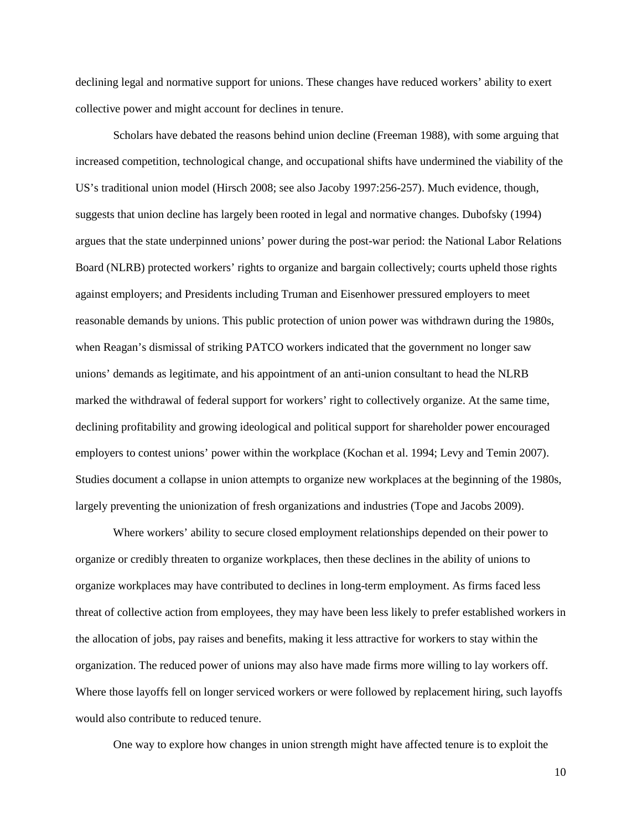declining legal and normative support for unions. These changes have reduced workers' ability to exert collective power and might account for declines in tenure.

Scholars have debated the reasons behind union decline [\(Freeman 1988\)](#page-36-12), with some arguing that increased competition, technological change, and occupational shifts have undermined the viability of the US's traditional union model [\(Hirsch 2008;](#page-36-13) [see also Jacoby 1997:256-257\)](#page-37-17). Much evidence, though, suggests that union decline has largely been rooted in legal and normative changes. Dubofsky [\(1994\)](#page-36-14) argues that the state underpinned unions' power during the post-war period: the National Labor Relations Board (NLRB) protected workers' rights to organize and bargain collectively; courts upheld those rights against employers; and Presidents including Truman and Eisenhower pressured employers to meet reasonable demands by unions. This public protection of union power was withdrawn during the 1980s, when Reagan's dismissal of striking PATCO workers indicated that the government no longer saw unions' demands as legitimate, and his appointment of an anti-union consultant to head the NLRB marked the withdrawal of federal support for workers' right to collectively organize. At the same time, declining profitability and growing ideological and political support for shareholder power encouraged employers to contest unions' power within the workplace [\(Kochan et al. 1994;](#page-37-18) [Levy and Temin 2007\)](#page-37-19). Studies document a collapse in union attempts to organize new workplaces at the beginning of the 1980s, largely preventing the unionization of fresh organizations and industries [\(Tope and Jacobs 2009\)](#page-38-6).

Where workers' ability to secure closed employment relationships depended on their power to organize or credibly threaten to organize workplaces, then these declines in the ability of unions to organize workplaces may have contributed to declines in long-term employment. As firms faced less threat of collective action from employees, they may have been less likely to prefer established workers in the allocation of jobs, pay raises and benefits, making it less attractive for workers to stay within the organization. The reduced power of unions may also have made firms more willing to lay workers off. Where those layoffs fell on longer serviced workers or were followed by replacement hiring, such layoffs would also contribute to reduced tenure.

One way to explore how changes in union strength might have affected tenure is to exploit the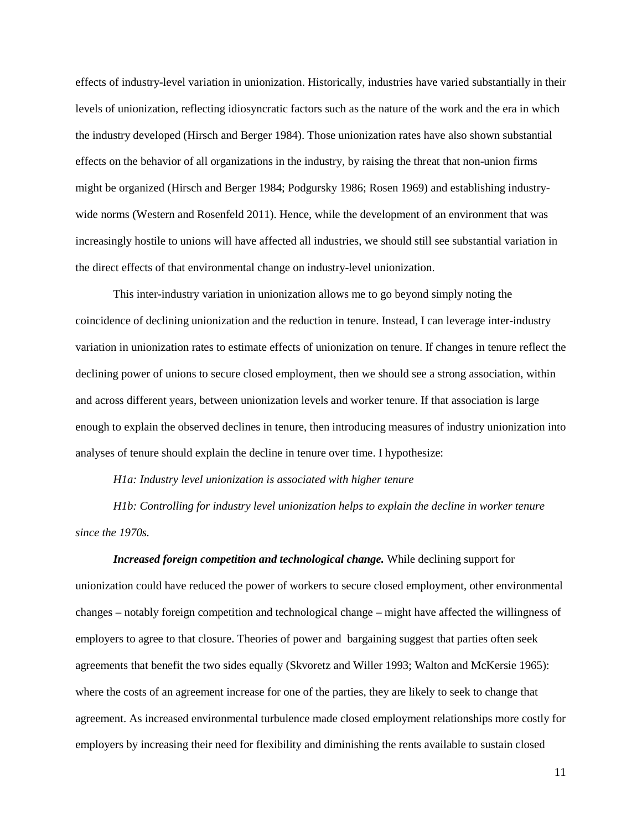effects of industry-level variation in unionization. Historically, industries have varied substantially in their levels of unionization, reflecting idiosyncratic factors such as the nature of the work and the era in which the industry developed [\(Hirsch and Berger 1984\)](#page-36-15). Those unionization rates have also shown substantial effects on the behavior of all organizations in the industry, by raising the threat that non-union firms might be organized [\(Hirsch and Berger 1984;](#page-36-15) [Podgursky 1986;](#page-37-20) [Rosen 1969\)](#page-37-21) and establishing industry-wide norms [\(Western and Rosenfeld 2011\)](#page-38-7). Hence, while the development of an environment that was increasingly hostile to unions will have affected all industries, we should still see substantial variation in the direct effects of that environmental change on industry-level unionization.

This inter-industry variation in unionization allows me to go beyond simply noting the coincidence of declining unionization and the reduction in tenure. Instead, I can leverage inter-industry variation in unionization rates to estimate effects of unionization on tenure. If changes in tenure reflect the declining power of unions to secure closed employment, then we should see a strong association, within and across different years, between unionization levels and worker tenure. If that association is large enough to explain the observed declines in tenure, then introducing measures of industry unionization into analyses of tenure should explain the decline in tenure over time. I hypothesize:

*H1a: Industry level unionization is associated with higher tenure*

*H1b: Controlling for industry level unionization helps to explain the decline in worker tenure since the 1970s.*

*Increased foreign competition and technological change.* While declining support for unionization could have reduced the power of workers to secure closed employment, other environmental changes – notably foreign competition and technological change – might have affected the willingness of employers to agree to that closure. Theories of power and bargaining suggest that parties often seek agreements that benefit the two sides equally [\(Skvoretz and Willer 1993;](#page-38-8) [Walton and McKersie 1965\)](#page-38-9): where the costs of an agreement increase for one of the parties, they are likely to seek to change that agreement. As increased environmental turbulence made closed employment relationships more costly for employers by increasing their need for flexibility and diminishing the rents available to sustain closed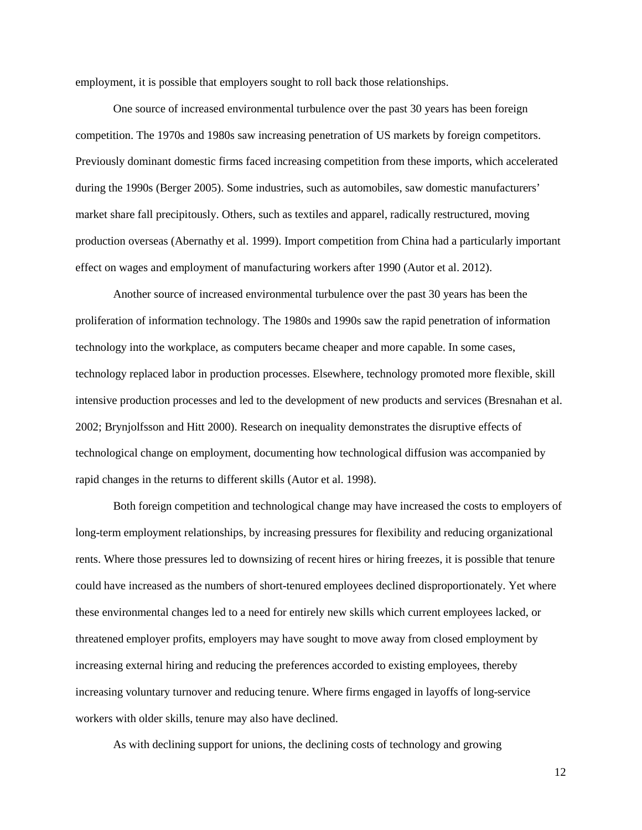employment, it is possible that employers sought to roll back those relationships.

One source of increased environmental turbulence over the past 30 years has been foreign competition. The 1970s and 1980s saw increasing penetration of US markets by foreign competitors. Previously dominant domestic firms faced increasing competition from these imports, which accelerated during the 1990s [\(Berger 2005\)](#page-35-12). Some industries, such as automobiles, saw domestic manufacturers' market share fall precipitously. Others, such as textiles and apparel, radically restructured, moving production overseas [\(Abernathy et al. 1999\)](#page-35-13). Import competition from China had a particularly important effect on wages and employment of manufacturing workers after 1990 [\(Autor et al. 2012\)](#page-35-14).

Another source of increased environmental turbulence over the past 30 years has been the proliferation of information technology. The 1980s and 1990s saw the rapid penetration of information technology into the workplace, as computers became cheaper and more capable. In some cases, technology replaced labor in production processes. Elsewhere, technology promoted more flexible, skill intensive production processes and led to the development of new products and services [\(Bresnahan et al.](#page-35-15)  [2002;](#page-35-15) [Brynjolfsson and Hitt 2000\)](#page-35-16). Research on inequality demonstrates the disruptive effects of technological change on employment, documenting how technological diffusion was accompanied by rapid changes in the returns to different skills [\(Autor et al. 1998\)](#page-35-17).

Both foreign competition and technological change may have increased the costs to employers of long-term employment relationships, by increasing pressures for flexibility and reducing organizational rents. Where those pressures led to downsizing of recent hires or hiring freezes, it is possible that tenure could have increased as the numbers of short-tenured employees declined disproportionately. Yet where these environmental changes led to a need for entirely new skills which current employees lacked, or threatened employer profits, employers may have sought to move away from closed employment by increasing external hiring and reducing the preferences accorded to existing employees, thereby increasing voluntary turnover and reducing tenure. Where firms engaged in layoffs of long-service workers with older skills, tenure may also have declined.

As with declining support for unions, the declining costs of technology and growing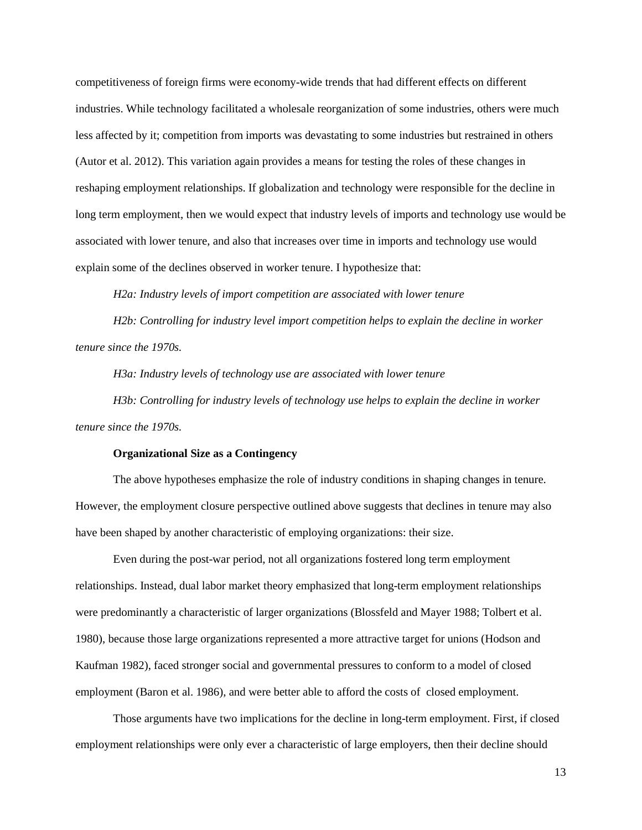competitiveness of foreign firms were economy-wide trends that had different effects on different industries. While technology facilitated a wholesale reorganization of some industries, others were much less affected by it; competition from imports was devastating to some industries but restrained in others [\(Autor et al. 2012\)](#page-35-14). This variation again provides a means for testing the roles of these changes in reshaping employment relationships. If globalization and technology were responsible for the decline in long term employment, then we would expect that industry levels of imports and technology use would be associated with lower tenure, and also that increases over time in imports and technology use would explain some of the declines observed in worker tenure. I hypothesize that:

*H2a: Industry levels of import competition are associated with lower tenure*

*H2b: Controlling for industry level import competition helps to explain the decline in worker tenure since the 1970s.*

*H3a: Industry levels of technology use are associated with lower tenure*

*H3b: Controlling for industry levels of technology use helps to explain the decline in worker tenure since the 1970s.*

### **Organizational Size as a Contingency**

The above hypotheses emphasize the role of industry conditions in shaping changes in tenure. However, the employment closure perspective outlined above suggests that declines in tenure may also have been shaped by another characteristic of employing organizations: their size.

Even during the post-war period, not all organizations fostered long term employment relationships. Instead, dual labor market theory emphasized that long-term employment relationships were predominantly a characteristic of larger organizations [\(Blossfeld and Mayer 1988;](#page-35-18) [Tolbert et al.](#page-38-10)  [1980\)](#page-38-10), because those large organizations represented a more attractive target for unions [\(Hodson and](#page-36-11)  [Kaufman 1982\)](#page-36-11), faced stronger social and governmental pressures to conform to a model of closed employment [\(Baron et al. 1986\)](#page-35-11), and were better able to afford the costs of closed employment.

Those arguments have two implications for the decline in long-term employment. First, if closed employment relationships were only ever a characteristic of large employers, then their decline should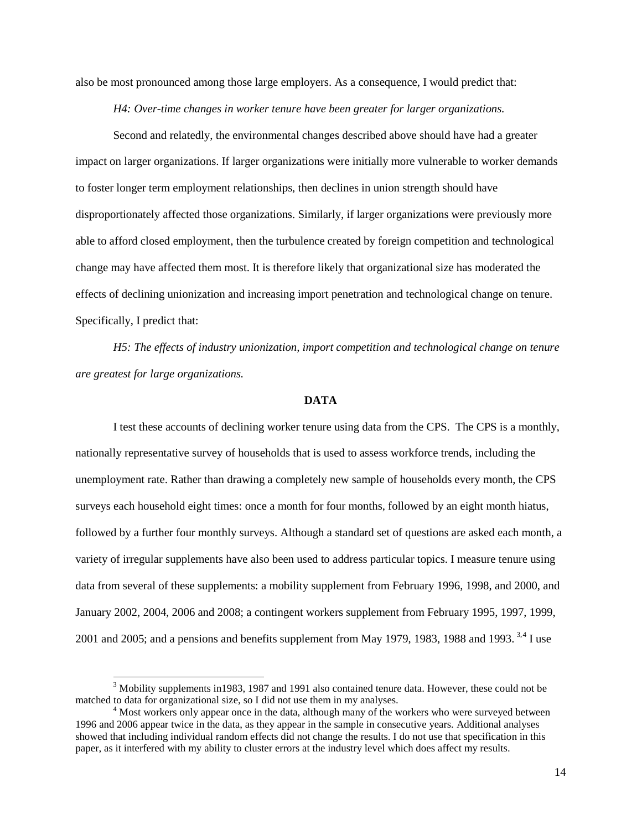also be most pronounced among those large employers. As a consequence, I would predict that:

*H4: Over-time changes in worker tenure have been greater for larger organizations.*

Second and relatedly, the environmental changes described above should have had a greater impact on larger organizations. If larger organizations were initially more vulnerable to worker demands to foster longer term employment relationships, then declines in union strength should have disproportionately affected those organizations. Similarly, if larger organizations were previously more able to afford closed employment, then the turbulence created by foreign competition and technological change may have affected them most. It is therefore likely that organizational size has moderated the effects of declining unionization and increasing import penetration and technological change on tenure. Specifically, I predict that:

*H5: The effects of industry unionization, import competition and technological change on tenure are greatest for large organizations.*

## **DATA**

I test these accounts of declining worker tenure using data from the CPS. The CPS is a monthly, nationally representative survey of households that is used to assess workforce trends, including the unemployment rate. Rather than drawing a completely new sample of households every month, the CPS surveys each household eight times: once a month for four months, followed by an eight month hiatus, followed by a further four monthly surveys. Although a standard set of questions are asked each month, a variety of irregular supplements have also been used to address particular topics. I measure tenure using data from several of these supplements: a mobility supplement from February 1996, 1998, and 2000, and January 2002, 2004, 2006 and 2008; a contingent workers supplement from February 1995, 1997, 1999, 2001 and 2005; and a pensions and benefits supplement from May 1979, 198[3](#page-13-0), 1988 and 1993.<sup>3,[4](#page-13-1)</sup> I use

<span id="page-13-0"></span><sup>&</sup>lt;sup>3</sup> Mobility supplements in1983, 1987 and 1991 also contained tenure data. However, these could not be matched to data for organizational size, so I did not use them in my analyses.

<span id="page-13-1"></span><sup>&</sup>lt;sup>4</sup> Most workers only appear once in the data, although many of the workers who were surveyed between 1996 and 2006 appear twice in the data, as they appear in the sample in consecutive years. Additional analyses showed that including individual random effects did not change the results. I do not use that specification in this paper, as it interfered with my ability to cluster errors at the industry level which does affect my results.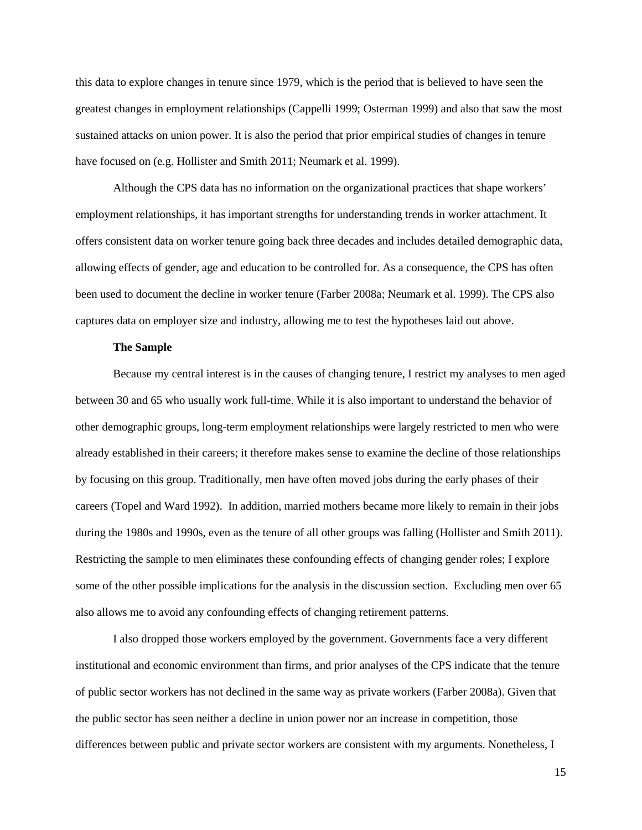this data to explore changes in tenure since 1979, which is the period that is believed to have seen the greatest changes in employment relationships [\(Cappelli 1999;](#page-35-1) [Osterman 1999\)](#page-37-0) and also that saw the most sustained attacks on union power. It is also the period that prior empirical studies of changes in tenure have focused on (e.g. [Hollister and Smith 2011;](#page-36-7) [Neumark et al. 1999\)](#page-37-7).

Although the CPS data has no information on the organizational practices that shape workers' employment relationships, it has important strengths for understanding trends in worker attachment. It offers consistent data on worker tenure going back three decades and includes detailed demographic data, allowing effects of gender, age and education to be controlled for. As a consequence, the CPS has often been used to document the decline in worker tenure [\(Farber 2008a;](#page-36-0) [Neumark et al. 1999\)](#page-37-7). The CPS also captures data on employer size and industry, allowing me to test the hypotheses laid out above.

## **The Sample**

Because my central interest is in the causes of changing tenure, I restrict my analyses to men aged between 30 and 65 who usually work full-time. While it is also important to understand the behavior of other demographic groups, long-term employment relationships were largely restricted to men who were already established in their careers; it therefore makes sense to examine the decline of those relationships by focusing on this group. Traditionally, men have often moved jobs during the early phases of their careers [\(Topel and Ward 1992\)](#page-38-11). In addition, married mothers became more likely to remain in their jobs during the 1980s and 1990s, even as the tenure of all other groups was falling [\(Hollister and Smith 2011\)](#page-36-7). Restricting the sample to men eliminates these confounding effects of changing gender roles; I explore some of the other possible implications for the analysis in the discussion section. Excluding men over 65 also allows me to avoid any confounding effects of changing retirement patterns.

I also dropped those workers employed by the government. Governments face a very different institutional and economic environment than firms, and prior analyses of the CPS indicate that the tenure of public sector workers has not declined in the same way as private workers [\(Farber 2008a\)](#page-36-0). Given that the public sector has seen neither a decline in union power nor an increase in competition, those differences between public and private sector workers are consistent with my arguments. Nonetheless, I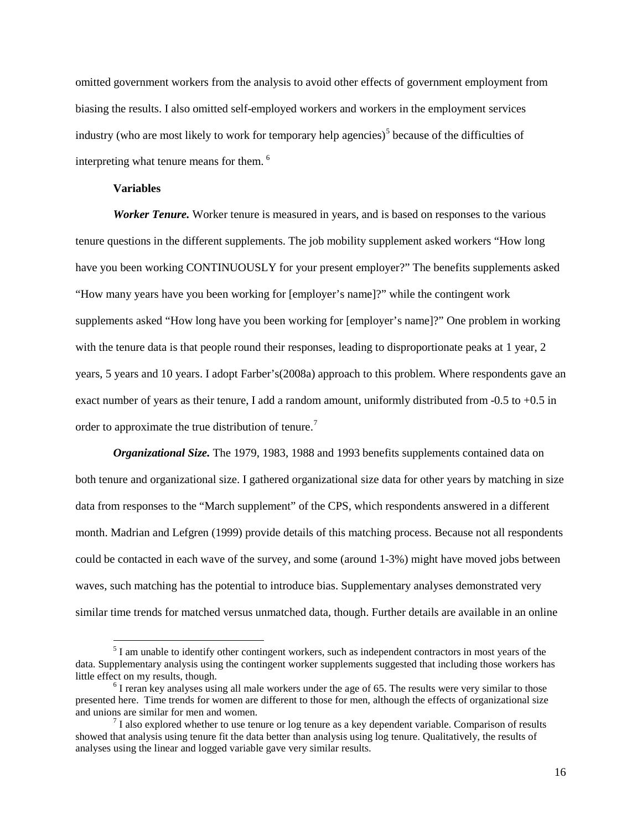omitted government workers from the analysis to avoid other effects of government employment from biasing the results. I also omitted self-employed workers and workers in the employment services industry (who are most likely to work for temporary help agencies)<sup>[5](#page-15-0)</sup> because of the difficulties of interpreting what tenure means for them.<sup>[6](#page-15-1)</sup>

#### **Variables**

*Worker Tenure.* Worker tenure is measured in years, and is based on responses to the various tenure questions in the different supplements. The job mobility supplement asked workers "How long have you been working CONTINUOUSLY for your present employer?" The benefits supplements asked "How many years have you been working for [employer's name]?" while the contingent work supplements asked "How long have you been working for [employer's name]?" One problem in working with the tenure data is that people round their responses, leading to disproportionate peaks at 1 year, 2 years, 5 years and 10 years. I adopt Farber's[\(2008a\)](#page-36-0) approach to this problem. Where respondents gave an exact number of years as their tenure, I add a random amount, uniformly distributed from -0.5 to +0.5 in order to approximate the true distribution of tenure.<sup>[7](#page-15-2)</sup>

*Organizational Size.* The 1979, 1983, 1988 and 1993 benefits supplements contained data on both tenure and organizational size. I gathered organizational size data for other years by matching in size data from responses to the "March supplement" of the CPS, which respondents answered in a different month. Madrian and Lefgren [\(1999\)](#page-37-22) provide details of this matching process. Because not all respondents could be contacted in each wave of the survey, and some (around 1-3%) might have moved jobs between waves, such matching has the potential to introduce bias. Supplementary analyses demonstrated very similar time trends for matched versus unmatched data, though. Further details are available in an online

<span id="page-15-0"></span> $5$  I am unable to identify other contingent workers, such as independent contractors in most years of the data. Supplementary analysis using the contingent worker supplements suggested that including those workers has little effect on my results, though.<br><sup>6</sup> I reran key analyses using all male workers under the age of 65. The results were very similar to those

<span id="page-15-1"></span>presented here. Time trends for women are different to those for men, although the effects of organizational size and unions are similar for men and women.<br><sup>7</sup> I also explored whether to use tenure or log tenure as a key dependent variable. Comparison of results

<span id="page-15-2"></span>showed that analysis using tenure fit the data better than analysis using log tenure. Qualitatively, the results of analyses using the linear and logged variable gave very similar results.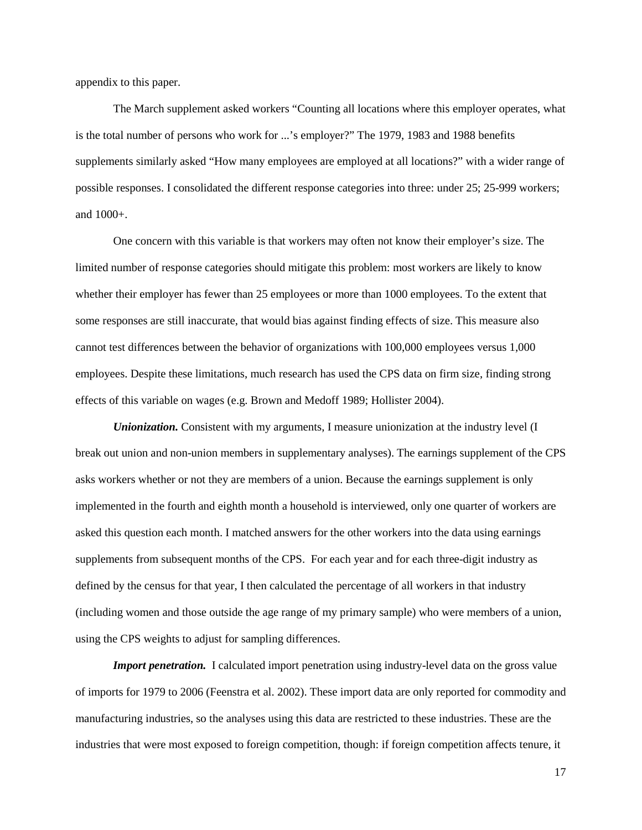appendix to this paper.

The March supplement asked workers "Counting all locations where this employer operates, what is the total number of persons who work for ...'s employer?" The 1979, 1983 and 1988 benefits supplements similarly asked "How many employees are employed at all locations?" with a wider range of possible responses. I consolidated the different response categories into three: under 25; 25-999 workers; and 1000+.

One concern with this variable is that workers may often not know their employer's size. The limited number of response categories should mitigate this problem: most workers are likely to know whether their employer has fewer than 25 employees or more than 1000 employees. To the extent that some responses are still inaccurate, that would bias against finding effects of size. This measure also cannot test differences between the behavior of organizations with 100,000 employees versus 1,000 employees. Despite these limitations, much research has used the CPS data on firm size, finding strong effects of this variable on wages (e.g. [Brown and Medoff 1989;](#page-35-19) [Hollister 2004\)](#page-36-16).

*Unionization.* Consistent with my arguments, I measure unionization at the industry level (I break out union and non-union members in supplementary analyses). The earnings supplement of the CPS asks workers whether or not they are members of a union. Because the earnings supplement is only implemented in the fourth and eighth month a household is interviewed, only one quarter of workers are asked this question each month. I matched answers for the other workers into the data using earnings supplements from subsequent months of the CPS. For each year and for each three-digit industry as defined by the census for that year, I then calculated the percentage of all workers in that industry (including women and those outside the age range of my primary sample) who were members of a union, using the CPS weights to adjust for sampling differences.

*Import penetration.* I calculated import penetration using industry-level data on the gross value of imports for 1979 to 2006 [\(Feenstra et al. 2002\)](#page-36-17). These import data are only reported for commodity and manufacturing industries, so the analyses using this data are restricted to these industries. These are the industries that were most exposed to foreign competition, though: if foreign competition affects tenure, it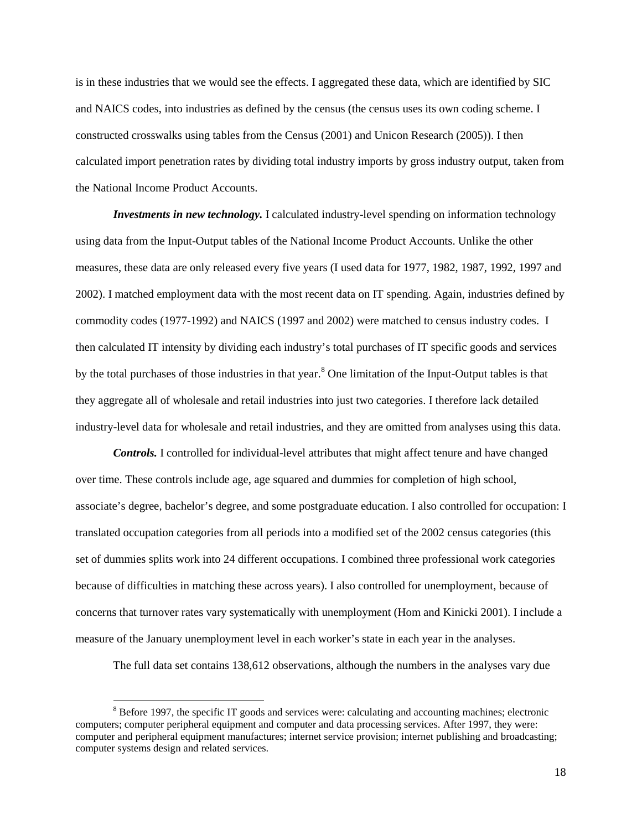is in these industries that we would see the effects. I aggregated these data, which are identified by SIC and NAICS codes, into industries as defined by the census (the census uses its own coding scheme. I constructed crosswalks using tables from the Census [\(2001\)](#page-36-18) and Unicon Research [\(2005\)](#page-38-12)). I then calculated import penetration rates by dividing total industry imports by gross industry output, taken from the National Income Product Accounts.

*Investments in new technology.* I calculated industry-level spending on information technology using data from the Input-Output tables of the National Income Product Accounts. Unlike the other measures, these data are only released every five years (I used data for 1977, 1982, 1987, 1992, 1997 and 2002). I matched employment data with the most recent data on IT spending. Again, industries defined by commodity codes (1977-1992) and NAICS (1997 and 2002) were matched to census industry codes. I then calculated IT intensity by dividing each industry's total purchases of IT specific goods and services by the total purchases of those industries in that year.<sup>[8](#page-17-0)</sup> One limitation of the Input-Output tables is that they aggregate all of wholesale and retail industries into just two categories. I therefore lack detailed industry-level data for wholesale and retail industries, and they are omitted from analyses using this data.

*Controls.* I controlled for individual-level attributes that might affect tenure and have changed over time. These controls include age, age squared and dummies for completion of high school, associate's degree, bachelor's degree, and some postgraduate education. I also controlled for occupation: I translated occupation categories from all periods into a modified set of the 2002 census categories (this set of dummies splits work into 24 different occupations. I combined three professional work categories because of difficulties in matching these across years). I also controlled for unemployment, because of concerns that turnover rates vary systematically with unemployment ( [Hom and Kinicki 2001\)](#page-37-11). I include a measure of the January unemployment level in each worker's state in each year in the analyses.

The full data set contains 138,612 observations, although the numbers in the analyses vary due

<span id="page-17-0"></span><sup>&</sup>lt;sup>8</sup> Before 1997, the specific IT goods and services were: calculating and accounting machines; electronic computers; computer peripheral equipment and computer and data processing services. After 1997, they were: computer and peripheral equipment manufactures; internet service provision; internet publishing and broadcasting; computer systems design and related services.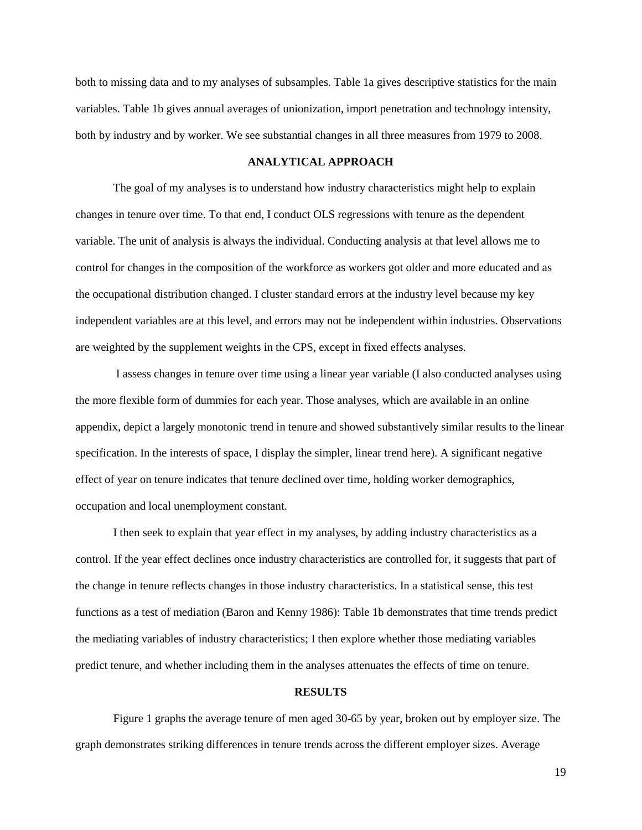both to missing data and to my analyses of subsamples. Table 1a gives descriptive statistics for the main variables. Table 1b gives annual averages of unionization, import penetration and technology intensity, both by industry and by worker. We see substantial changes in all three measures from 1979 to 2008.

## **ANALYTICAL APPROACH**

The goal of my analyses is to understand how industry characteristics might help to explain changes in tenure over time. To that end, I conduct OLS regressions with tenure as the dependent variable. The unit of analysis is always the individual. Conducting analysis at that level allows me to control for changes in the composition of the workforce as workers got older and more educated and as the occupational distribution changed. I cluster standard errors at the industry level because my key independent variables are at this level, and errors may not be independent within industries. Observations are weighted by the supplement weights in the CPS, except in fixed effects analyses.

I assess changes in tenure over time using a linear year variable (I also conducted analyses using the more flexible form of dummies for each year. Those analyses, which are available in an online appendix, depict a largely monotonic trend in tenure and showed substantively similar results to the linear specification. In the interests of space, I display the simpler, linear trend here). A significant negative effect of year on tenure indicates that tenure declined over time, holding worker demographics, occupation and local unemployment constant.

I then seek to explain that year effect in my analyses, by adding industry characteristics as a control. If the year effect declines once industry characteristics are controlled for, it suggests that part of the change in tenure reflects changes in those industry characteristics. In a statistical sense, this test functions as a test of mediation [\(Baron and Kenny 1986\)](#page-35-20): Table 1b demonstrates that time trends predict the mediating variables of industry characteristics; I then explore whether those mediating variables predict tenure, and whether including them in the analyses attenuates the effects of time on tenure.

#### **RESULTS**

Figure 1 graphs the average tenure of men aged 30-65 by year, broken out by employer size. The graph demonstrates striking differences in tenure trends across the different employer sizes. Average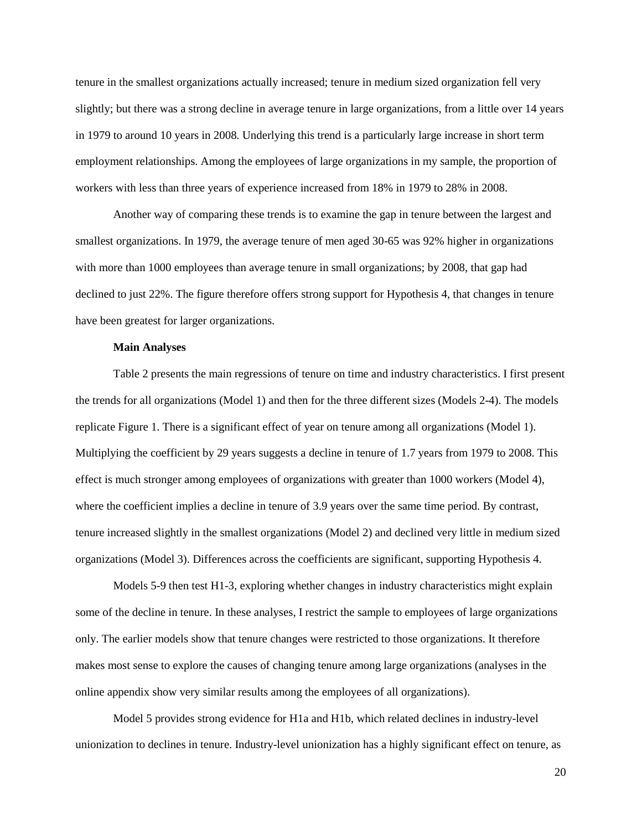tenure in the smallest organizations actually increased; tenure in medium sized organization fell very slightly; but there was a strong decline in average tenure in large organizations, from a little over 14 years in 1979 to around 10 years in 2008. Underlying this trend is a particularly large increase in short term employment relationships. Among the employees of large organizations in my sample, the proportion of workers with less than three years of experience increased from 18% in 1979 to 28% in 2008.

Another way of comparing these trends is to examine the gap in tenure between the largest and smallest organizations. In 1979, the average tenure of men aged 30-65 was 92% higher in organizations with more than 1000 employees than average tenure in small organizations; by 2008, that gap had declined to just 22%. The figure therefore offers strong support for Hypothesis 4, that changes in tenure have been greatest for larger organizations.

## **Main Analyses**

Table 2 presents the main regressions of tenure on time and industry characteristics. I first present the trends for all organizations (Model 1) and then for the three different sizes (Models 2-4). The models replicate Figure 1. There is a significant effect of year on tenure among all organizations (Model 1). Multiplying the coefficient by 29 years suggests a decline in tenure of 1.7 years from 1979 to 2008. This effect is much stronger among employees of organizations with greater than 1000 workers (Model 4), where the coefficient implies a decline in tenure of 3.9 years over the same time period. By contrast, tenure increased slightly in the smallest organizations (Model 2) and declined very little in medium sized organizations (Model 3). Differences across the coefficients are significant, supporting Hypothesis 4.

Models 5-9 then test H1-3, exploring whether changes in industry characteristics might explain some of the decline in tenure. In these analyses, I restrict the sample to employees of large organizations only. The earlier models show that tenure changes were restricted to those organizations. It therefore makes most sense to explore the causes of changing tenure among large organizations (analyses in the online appendix show very similar results among the employees of all organizations).

Model 5 provides strong evidence for H1a and H1b, which related declines in industry-level unionization to declines in tenure. Industry-level unionization has a highly significant effect on tenure, as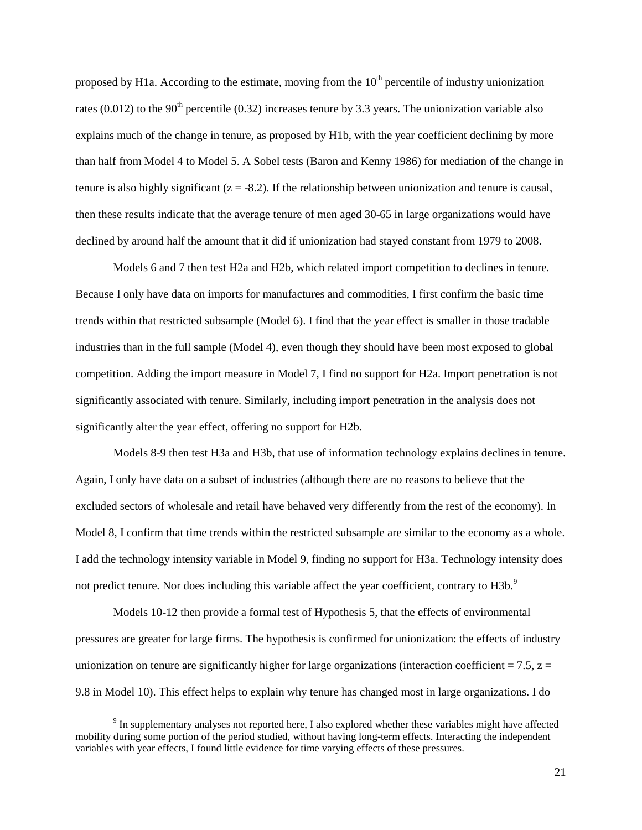proposed by H1a. According to the estimate, moving from the  $10<sup>th</sup>$  percentile of industry unionization rates (0.012) to the 90<sup>th</sup> percentile (0.32) increases tenure by 3.3 years. The unionization variable also explains much of the change in tenure, as proposed by H1b, with the year coefficient declining by more than half from Model 4 to Model 5. A Sobel tests [\(Baron and Kenny 1986\)](#page-35-20) for mediation of the change in tenure is also highly significant  $(z = -8.2)$ . If the relationship between unionization and tenure is causal, then these results indicate that the average tenure of men aged 30-65 in large organizations would have declined by around half the amount that it did if unionization had stayed constant from 1979 to 2008.

Models 6 and 7 then test H2a and H2b, which related import competition to declines in tenure. Because I only have data on imports for manufactures and commodities, I first confirm the basic time trends within that restricted subsample (Model 6). I find that the year effect is smaller in those tradable industries than in the full sample (Model 4), even though they should have been most exposed to global competition. Adding the import measure in Model 7, I find no support for H2a. Import penetration is not significantly associated with tenure. Similarly, including import penetration in the analysis does not significantly alter the year effect, offering no support for H2b.

Models 8-9 then test H3a and H3b, that use of information technology explains declines in tenure. Again, I only have data on a subset of industries (although there are no reasons to believe that the excluded sectors of wholesale and retail have behaved very differently from the rest of the economy). In Model 8, I confirm that time trends within the restricted subsample are similar to the economy as a whole. I add the technology intensity variable in Model 9, finding no support for H3a. Technology intensity does not predict tenure. Nor does including this variable affect the year coefficient, contrary to H3b.<sup>[9](#page-20-0)</sup>

Models 10-12 then provide a formal test of Hypothesis 5, that the effects of environmental pressures are greater for large firms. The hypothesis is confirmed for unionization: the effects of industry unionization on tenure are significantly higher for large organizations (interaction coefficient  $= 7.5$ ,  $z =$ 9.8 in Model 10). This effect helps to explain why tenure has changed most in large organizations. I do

<span id="page-20-0"></span> $9$  In supplementary analyses not reported here, I also explored whether these variables might have affected mobility during some portion of the period studied, without having long-term effects. Interacting the independent variables with year effects, I found little evidence for time varying effects of these pressures.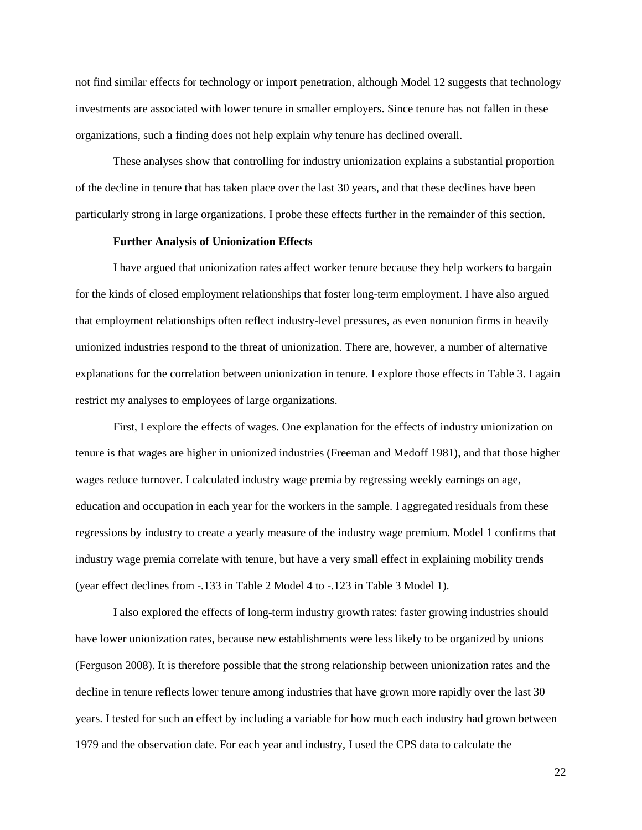not find similar effects for technology or import penetration, although Model 12 suggests that technology investments are associated with lower tenure in smaller employers. Since tenure has not fallen in these organizations, such a finding does not help explain why tenure has declined overall.

These analyses show that controlling for industry unionization explains a substantial proportion of the decline in tenure that has taken place over the last 30 years, and that these declines have been particularly strong in large organizations. I probe these effects further in the remainder of this section.

## **Further Analysis of Unionization Effects**

I have argued that unionization rates affect worker tenure because they help workers to bargain for the kinds of closed employment relationships that foster long-term employment. I have also argued that employment relationships often reflect industry-level pressures, as even nonunion firms in heavily unionized industries respond to the threat of unionization. There are, however, a number of alternative explanations for the correlation between unionization in tenure. I explore those effects in Table 3. I again restrict my analyses to employees of large organizations.

First, I explore the effects of wages. One explanation for the effects of industry unionization on tenure is that wages are higher in unionized industries [\(Freeman and Medoff 1981\)](#page-36-19), and that those higher wages reduce turnover. I calculated industry wage premia by regressing weekly earnings on age, education and occupation in each year for the workers in the sample. I aggregated residuals from these regressions by industry to create a yearly measure of the industry wage premium. Model 1 confirms that industry wage premia correlate with tenure, but have a very small effect in explaining mobility trends (year effect declines from -.133 in Table 2 Model 4 to -.123 in Table 3 Model 1).

I also explored the effects of long-term industry growth rates: faster growing industries should have lower unionization rates, because new establishments were less likely to be organized by unions [\(Ferguson 2008\)](#page-36-20). It is therefore possible that the strong relationship between unionization rates and the decline in tenure reflects lower tenure among industries that have grown more rapidly over the last 30 years. I tested for such an effect by including a variable for how much each industry had grown between 1979 and the observation date. For each year and industry, I used the CPS data to calculate the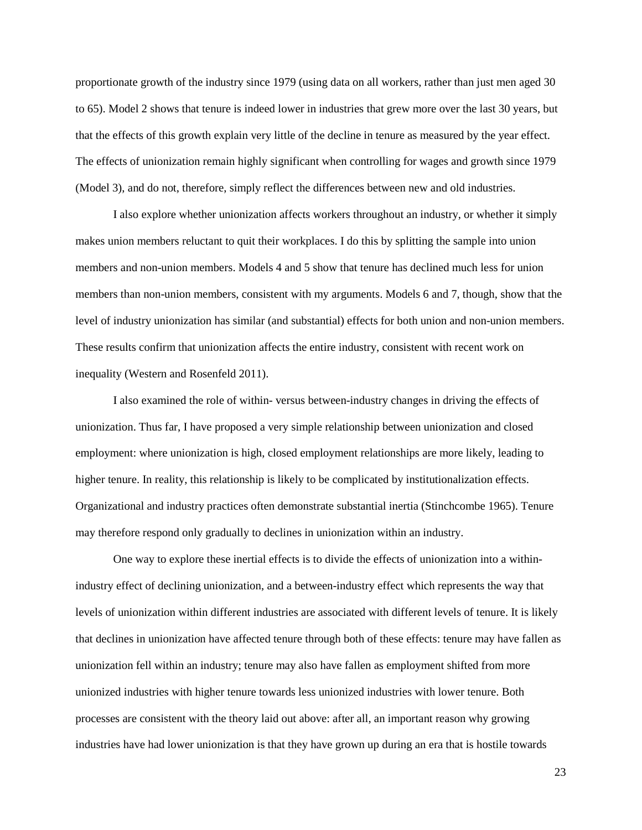proportionate growth of the industry since 1979 (using data on all workers, rather than just men aged 30 to 65). Model 2 shows that tenure is indeed lower in industries that grew more over the last 30 years, but that the effects of this growth explain very little of the decline in tenure as measured by the year effect. The effects of unionization remain highly significant when controlling for wages and growth since 1979 (Model 3), and do not, therefore, simply reflect the differences between new and old industries.

I also explore whether unionization affects workers throughout an industry, or whether it simply makes union members reluctant to quit their workplaces. I do this by splitting the sample into union members and non-union members. Models 4 and 5 show that tenure has declined much less for union members than non-union members, consistent with my arguments. Models 6 and 7, though, show that the level of industry unionization has similar (and substantial) effects for both union and non-union members. These results confirm that unionization affects the entire industry, consistent with recent work on inequality [\(Western and Rosenfeld 2011\)](#page-38-7).

I also examined the role of within- versus between-industry changes in driving the effects of unionization. Thus far, I have proposed a very simple relationship between unionization and closed employment: where unionization is high, closed employment relationships are more likely, leading to higher tenure. In reality, this relationship is likely to be complicated by institutionalization effects. Organizational and industry practices often demonstrate substantial inertia [\(Stinchcombe 1965\)](#page-38-13). Tenure may therefore respond only gradually to declines in unionization within an industry.

One way to explore these inertial effects is to divide the effects of unionization into a withinindustry effect of declining unionization, and a between-industry effect which represents the way that levels of unionization within different industries are associated with different levels of tenure. It is likely that declines in unionization have affected tenure through both of these effects: tenure may have fallen as unionization fell within an industry; tenure may also have fallen as employment shifted from more unionized industries with higher tenure towards less unionized industries with lower tenure. Both processes are consistent with the theory laid out above: after all, an important reason why growing industries have had lower unionization is that they have grown up during an era that is hostile towards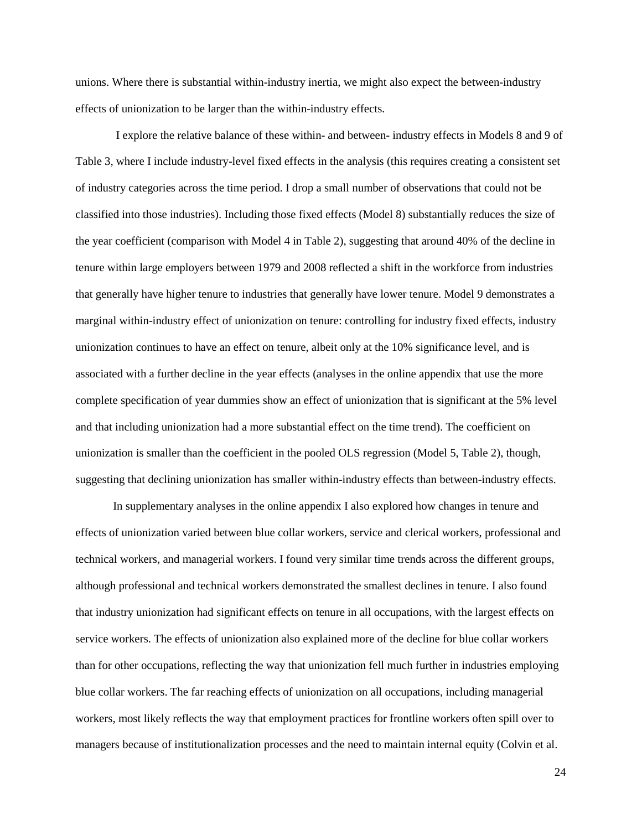unions. Where there is substantial within-industry inertia, we might also expect the between-industry effects of unionization to be larger than the within-industry effects.

I explore the relative balance of these within- and between- industry effects in Models 8 and 9 of Table 3, where I include industry-level fixed effects in the analysis (this requires creating a consistent set of industry categories across the time period. I drop a small number of observations that could not be classified into those industries). Including those fixed effects (Model 8) substantially reduces the size of the year coefficient (comparison with Model 4 in Table 2), suggesting that around 40% of the decline in tenure within large employers between 1979 and 2008 reflected a shift in the workforce from industries that generally have higher tenure to industries that generally have lower tenure. Model 9 demonstrates a marginal within-industry effect of unionization on tenure: controlling for industry fixed effects, industry unionization continues to have an effect on tenure, albeit only at the 10% significance level, and is associated with a further decline in the year effects (analyses in the online appendix that use the more complete specification of year dummies show an effect of unionization that is significant at the 5% level and that including unionization had a more substantial effect on the time trend). The coefficient on unionization is smaller than the coefficient in the pooled OLS regression (Model 5, Table 2), though, suggesting that declining unionization has smaller within-industry effects than between-industry effects.

In supplementary analyses in the online appendix I also explored how changes in tenure and effects of unionization varied between blue collar workers, service and clerical workers, professional and technical workers, and managerial workers. I found very similar time trends across the different groups, although professional and technical workers demonstrated the smallest declines in tenure. I also found that industry unionization had significant effects on tenure in all occupations, with the largest effects on service workers. The effects of unionization also explained more of the decline for blue collar workers than for other occupations, reflecting the way that unionization fell much further in industries employing blue collar workers. The far reaching effects of unionization on all occupations, including managerial workers, most likely reflects the way that employment practices for frontline workers often spill over to managers because of institutionalization processes and the need to maintain internal equity [\(Colvin et al.](#page-36-21)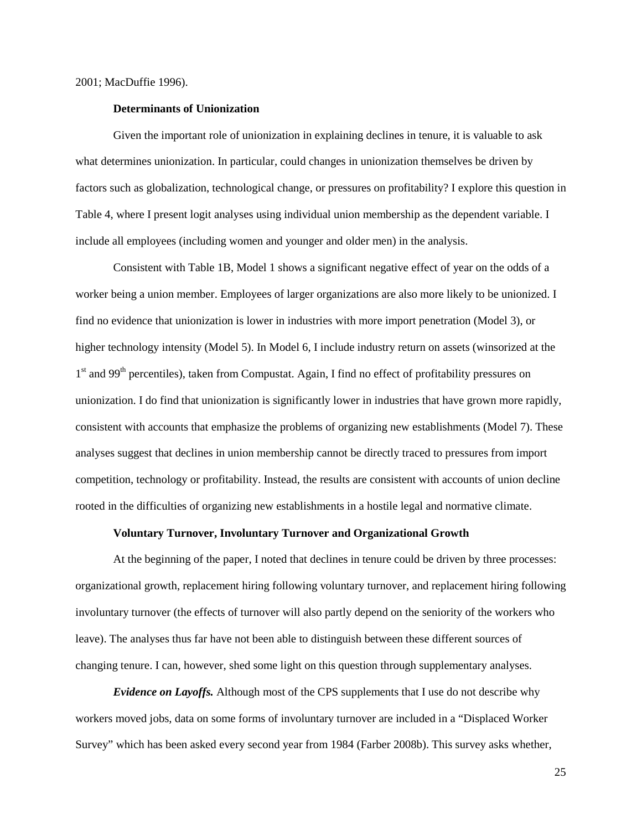2001; [MacDuffie 1996\)](#page-37-23).

#### **Determinants of Unionization**

Given the important role of unionization in explaining declines in tenure, it is valuable to ask what determines unionization. In particular, could changes in unionization themselves be driven by factors such as globalization, technological change, or pressures on profitability? I explore this question in Table 4, where I present logit analyses using individual union membership as the dependent variable. I include all employees (including women and younger and older men) in the analysis.

Consistent with Table 1B, Model 1 shows a significant negative effect of year on the odds of a worker being a union member. Employees of larger organizations are also more likely to be unionized. I find no evidence that unionization is lower in industries with more import penetration (Model 3), or higher technology intensity (Model 5). In Model 6, I include industry return on assets (winsorized at the 1<sup>st</sup> and 99<sup>th</sup> percentiles), taken from Compustat. Again, I find no effect of profitability pressures on unionization. I do find that unionization is significantly lower in industries that have grown more rapidly, consistent with accounts that emphasize the problems of organizing new establishments (Model 7). These analyses suggest that declines in union membership cannot be directly traced to pressures from import competition, technology or profitability. Instead, the results are consistent with accounts of union decline rooted in the difficulties of organizing new establishments in a hostile legal and normative climate.

#### **Voluntary Turnover, Involuntary Turnover and Organizational Growth**

At the beginning of the paper, I noted that declines in tenure could be driven by three processes: organizational growth, replacement hiring following voluntary turnover, and replacement hiring following involuntary turnover (the effects of turnover will also partly depend on the seniority of the workers who leave). The analyses thus far have not been able to distinguish between these different sources of changing tenure. I can, however, shed some light on this question through supplementary analyses.

*Evidence on Layoffs.* Although most of the CPS supplements that I use do not describe why workers moved jobs, data on some forms of involuntary turnover are included in a "Displaced Worker Survey" which has been asked every second year from 1984 [\(Farber 2008b\)](#page-36-6). This survey asks whether,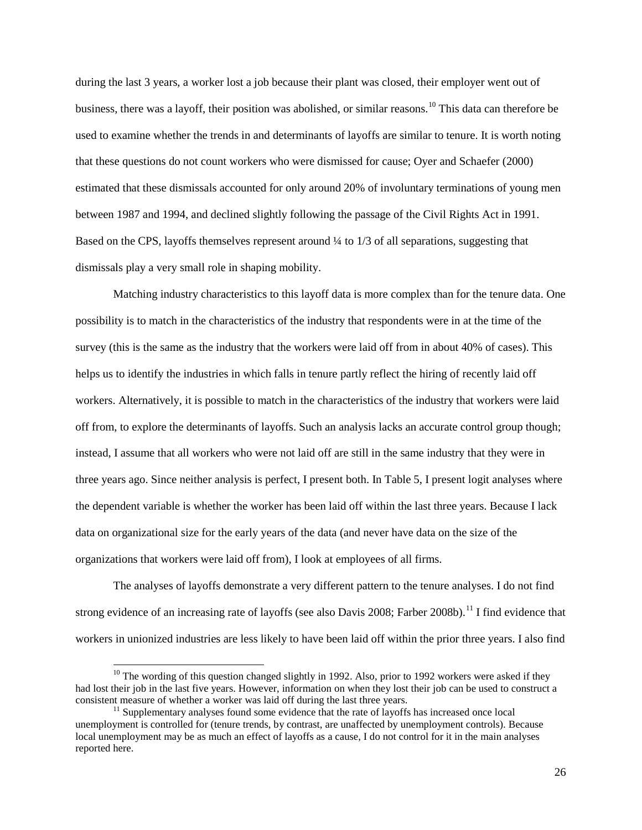during the last 3 years, a worker lost a job because their plant was closed, their employer went out of business, there was a layoff, their position was abolished, or similar reasons.<sup>[10](#page-25-0)</sup> This data can therefore be that these questions do not count workers who were dismissed for cause; Oyer and Schaefer ([2000](#page-37-24)) used to examine whether the trends in and determinants of layoffs are similar to tenure. It is worth noting estimated that these dismissals accounted for only around 20% of involuntary terminations of young men between 1987 and 1994, and declined slightly following the passage of the Civil Rights Act in 1991. Based on the CPS, layoffs themselves represent around  $\frac{1}{4}$  to 1/3 of all separations, suggesting that dismissals play a very small role in shaping mobility.

Matching industry characteristics to this layoff data is more complex than for the tenure data. One possibility is to match in the characteristics of the industry that respondents were in at the time of the survey (this is the same as the industry that the workers were laid off from in about 40% of cases). This helps us to identify the industries in which falls in tenure partly reflect the hiring of recently laid off workers. Alternatively, it is possible to match in the characteristics of the industry that workers were laid off from, to explore the determinants of layoffs. Such an analysis lacks an accurate control group though; instead, I assume that all workers who were not laid off are still in the same industry that they were in three years ago. Since neither analysis is perfect, I present both. In Table 5, I present logit analyses where the dependent variable is whether the worker has been laid off within the last three years. Because I lack data on organizational size for the early years of the data (and never have data on the size of the organizations that workers were laid off from), I look at employees of all firms.

The analyses of layoffs demonstrate a very different pattern to the tenure analyses. I do not find strong evidence of an increasing rate of layoffs (see also [Davis 2008;](#page-36-4) [Farber 2008b\)](#page-36-6).<sup>[11](#page-25-1)</sup> I find evidence that workers in unionized industries are less likely to have been laid off within the prior three years. I also find

<span id="page-25-0"></span> $10$  The wording of this question changed slightly in 1992. Also, prior to 1992 workers were asked if they had lost their job in the last five years. However, information on when they lost their job can be used to construct a consistent measure of whether a worker was laid off during the last three years.

<span id="page-25-1"></span> $<sup>11</sup>$  Supplementary analyses found some evidence that the rate of layoffs has increased once local</sup> unemployment is controlled for (tenure trends, by contrast, are unaffected by unemployment controls). Because local unemployment may be as much an effect of layoffs as a cause, I do not control for it in the main analyses reported here.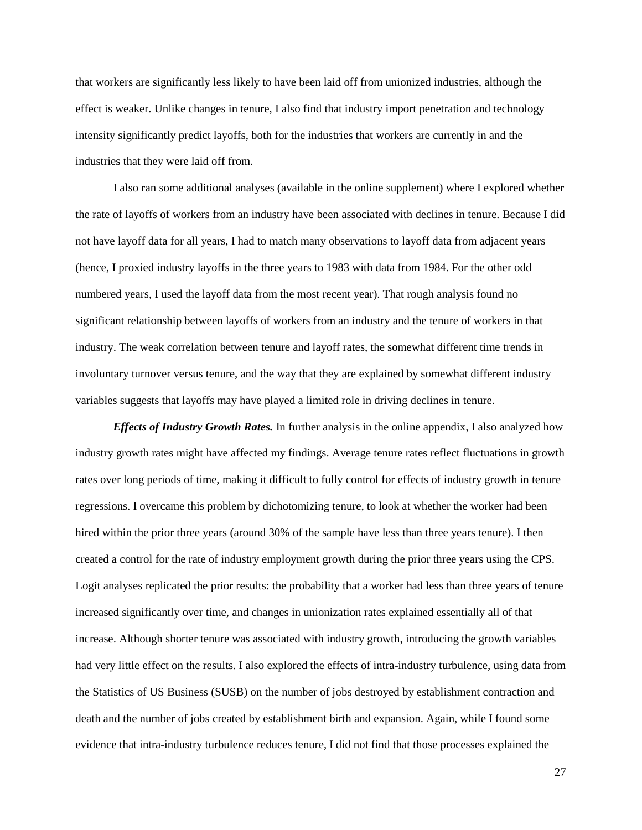that workers are significantly less likely to have been laid off from unionized industries, although the effect is weaker. Unlike changes in tenure, I also find that industry import penetration and technology intensity significantly predict layoffs, both for the industries that workers are currently in and the industries that they were laid off from.

I also ran some additional analyses (available in the online supplement) where I explored whether the rate of layoffs of workers from an industry have been associated with declines in tenure. Because I did not have layoff data for all years, I had to match many observations to layoff data from adjacent years (hence, I proxied industry layoffs in the three years to 1983 with data from 1984. For the other odd numbered years, I used the layoff data from the most recent year). That rough analysis found no significant relationship between layoffs of workers from an industry and the tenure of workers in that industry. The weak correlation between tenure and layoff rates, the somewhat different time trends in involuntary turnover versus tenure, and the way that they are explained by somewhat different industry variables suggests that layoffs may have played a limited role in driving declines in tenure.

*Effects of Industry Growth Rates.* In further analysis in the online appendix, I also analyzed how industry growth rates might have affected my findings. Average tenure rates reflect fluctuations in growth rates over long periods of time, making it difficult to fully control for effects of industry growth in tenure regressions. I overcame this problem by dichotomizing tenure, to look at whether the worker had been hired within the prior three years (around 30% of the sample have less than three years tenure). I then created a control for the rate of industry employment growth during the prior three years using the CPS. Logit analyses replicated the prior results: the probability that a worker had less than three years of tenure increased significantly over time, and changes in unionization rates explained essentially all of that increase. Although shorter tenure was associated with industry growth, introducing the growth variables had very little effect on the results. I also explored the effects of intra-industry turbulence, using data from the Statistics of US Business (SUSB) on the number of jobs destroyed by establishment contraction and death and the number of jobs created by establishment birth and expansion. Again, while I found some evidence that intra-industry turbulence reduces tenure, I did not find that those processes explained the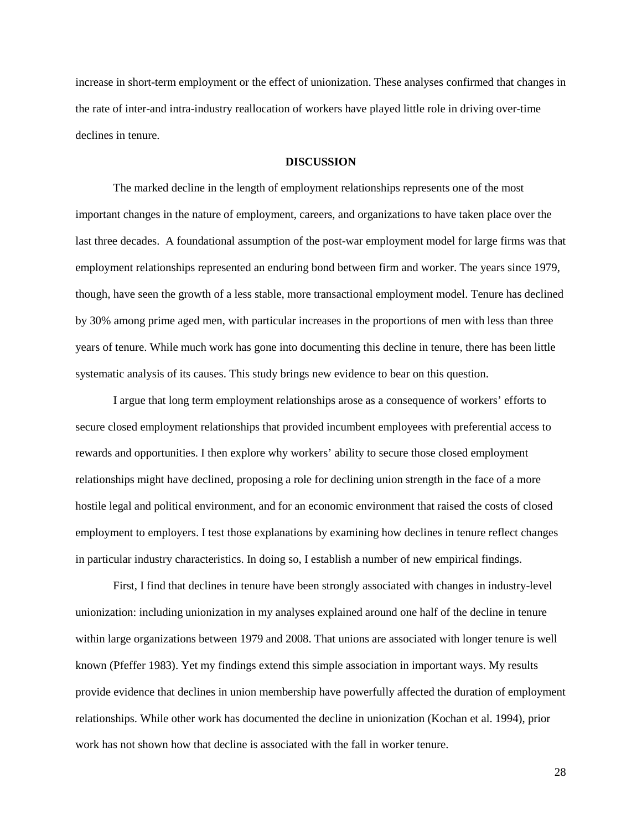increase in short-term employment or the effect of unionization. These analyses confirmed that changes in the rate of inter-and intra-industry reallocation of workers have played little role in driving over-time declines in tenure.

## **DISCUSSION**

The marked decline in the length of employment relationships represents one of the most important changes in the nature of employment, careers, and organizations to have taken place over the last three decades. A foundational assumption of the post-war employment model for large firms was that employment relationships represented an enduring bond between firm and worker. The years since 1979, though, have seen the growth of a less stable, more transactional employment model. Tenure has declined by 30% among prime aged men, with particular increases in the proportions of men with less than three years of tenure. While much work has gone into documenting this decline in tenure, there has been little systematic analysis of its causes. This study brings new evidence to bear on this question.

I argue that long term employment relationships arose as a consequence of workers' efforts to secure closed employment relationships that provided incumbent employees with preferential access to rewards and opportunities. I then explore why workers' ability to secure those closed employment relationships might have declined, proposing a role for declining union strength in the face of a more hostile legal and political environment, and for an economic environment that raised the costs of closed employment to employers. I test those explanations by examining how declines in tenure reflect changes in particular industry characteristics. In doing so, I establish a number of new empirical findings.

First, I find that declines in tenure have been strongly associated with changes in industry-level unionization: including unionization in my analyses explained around one half of the decline in tenure within large organizations between 1979 and 2008. That unions are associated with longer tenure is well known [\(Pfeffer 1983\)](#page-37-9). Yet my findings extend this simple association in important ways. My results provide evidence that declines in union membership have powerfully affected the duration of employment relationships. While other work has documented the decline in unionization [\(Kochan et al. 1994\)](#page-37-18), prior work has not shown how that decline is associated with the fall in worker tenure.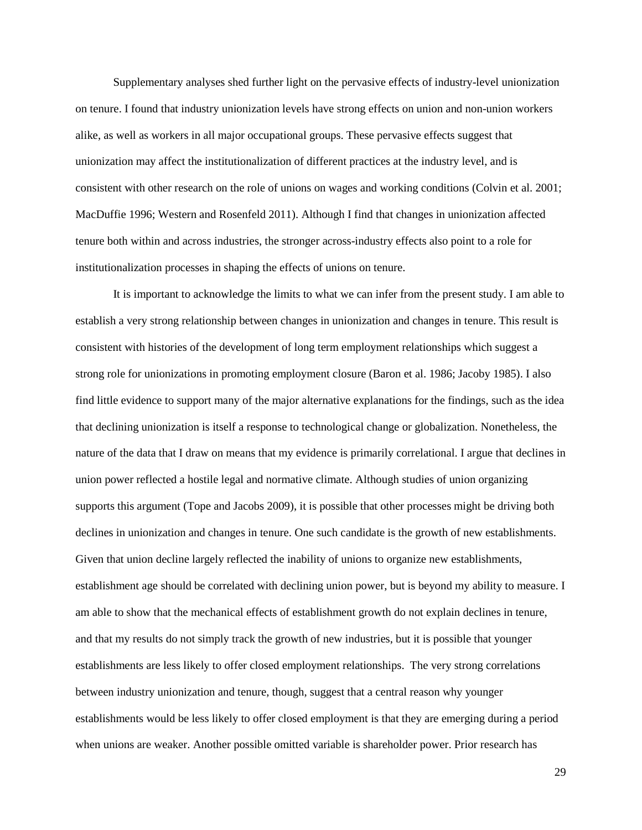Supplementary analyses shed further light on the pervasive effects of industry-level unionization on tenure. I found that industry unionization levels have strong effects on union and non-union workers alike, as well as workers in all major occupational groups. These pervasive effects suggest that unionization may affect the institutionalization of different practices at the industry level, and is consistent with other research on the role of unions on wages and working conditions [\(Colvin et al. 2001;](#page-36-21) [MacDuffie 1996;](#page-37-23) [Western and Rosenfeld 2011\)](#page-38-7). Although I find that changes in unionization affected tenure both within and across industries, the stronger across-industry effects also point to a role for institutionalization processes in shaping the effects of unions on tenure.

It is important to acknowledge the limits to what we can infer from the present study. I am able to establish a very strong relationship between changes in unionization and changes in tenure. This result is consistent with histories of the development of long term employment relationships which suggest a strong role for unionizations in promoting employment closure [\(Baron et al. 1986;](#page-35-11) [Jacoby 1985\)](#page-37-15). I also find little evidence to support many of the major alternative explanations for the findings, such as the idea that declining unionization is itself a response to technological change or globalization. Nonetheless, the nature of the data that I draw on means that my evidence is primarily correlational. I argue that declines in union power reflected a hostile legal and normative climate. Although studies of union organizing supports this argument [\(Tope and Jacobs 2009\)](#page-38-6), it is possible that other processes might be driving both declines in unionization and changes in tenure. One such candidate is the growth of new establishments. Given that union decline largely reflected the inability of unions to organize new establishments, establishment age should be correlated with declining union power, but is beyond my ability to measure. I am able to show that the mechanical effects of establishment growth do not explain declines in tenure, and that my results do not simply track the growth of new industries, but it is possible that younger establishments are less likely to offer closed employment relationships. The very strong correlations between industry unionization and tenure, though, suggest that a central reason why younger establishments would be less likely to offer closed employment is that they are emerging during a period when unions are weaker. Another possible omitted variable is shareholder power. Prior research has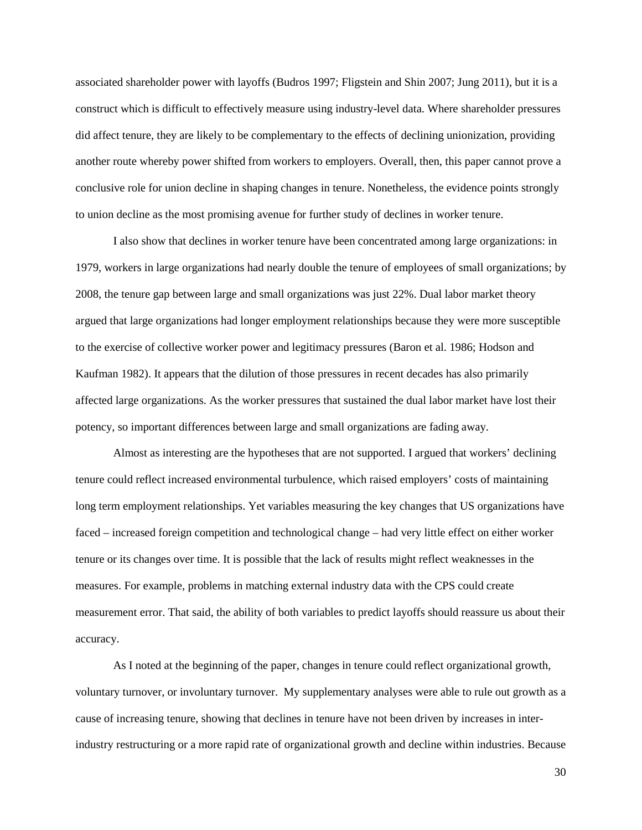associated shareholder power with layoffs [\(Budros 1997;](#page-35-21) [Fligstein and Shin 2007;](#page-36-3) [Jung 2011\)](#page-37-25), but it is a construct which is difficult to effectively measure using industry-level data. Where shareholder pressures did affect tenure, they are likely to be complementary to the effects of declining unionization, providing another route whereby power shifted from workers to employers. Overall, then, this paper cannot prove a conclusive role for union decline in shaping changes in tenure. Nonetheless, the evidence points strongly to union decline as the most promising avenue for further study of declines in worker tenure.

I also show that declines in worker tenure have been concentrated among large organizations: in 1979, workers in large organizations had nearly double the tenure of employees of small organizations; by 2008, the tenure gap between large and small organizations was just 22%. Dual labor market theory argued that large organizations had longer employment relationships because they were more susceptible to the exercise of collective worker power and legitimacy pressures [\(Baron et al. 1986;](#page-35-11) [Hodson and](#page-36-11)  [Kaufman 1982\)](#page-36-11). It appears that the dilution of those pressures in recent decades has also primarily affected large organizations. As the worker pressures that sustained the dual labor market have lost their potency, so important differences between large and small organizations are fading away.

Almost as interesting are the hypotheses that are not supported. I argued that workers' declining tenure could reflect increased environmental turbulence, which raised employers' costs of maintaining long term employment relationships. Yet variables measuring the key changes that US organizations have faced – increased foreign competition and technological change – had very little effect on either worker tenure or its changes over time. It is possible that the lack of results might reflect weaknesses in the measures. For example, problems in matching external industry data with the CPS could create measurement error. That said, the ability of both variables to predict layoffs should reassure us about their accuracy.

As I noted at the beginning of the paper, changes in tenure could reflect organizational growth, voluntary turnover, or involuntary turnover. My supplementary analyses were able to rule out growth as a cause of increasing tenure, showing that declines in tenure have not been driven by increases in interindustry restructuring or a more rapid rate of organizational growth and decline within industries. Because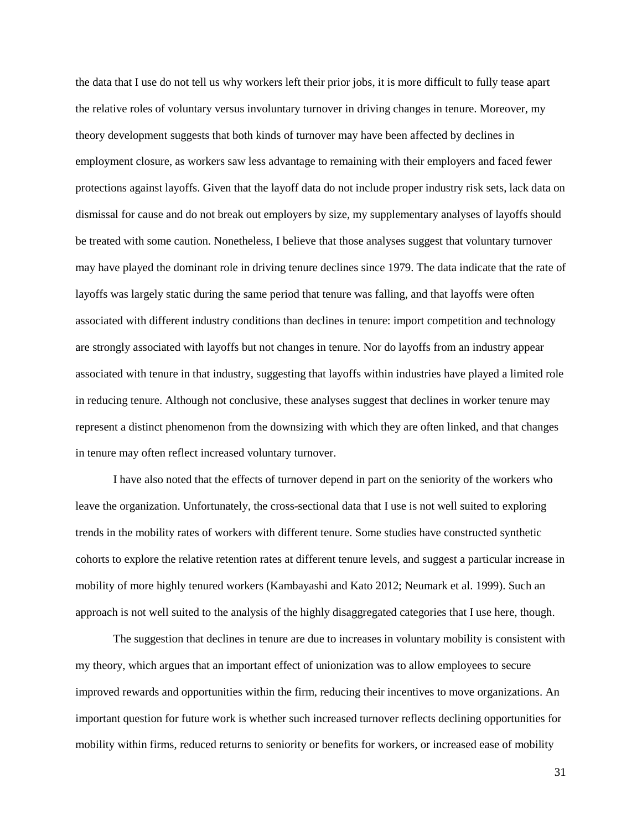the data that I use do not tell us why workers left their prior jobs, it is more difficult to fully tease apart the relative roles of voluntary versus involuntary turnover in driving changes in tenure. Moreover, my theory development suggests that both kinds of turnover may have been affected by declines in employment closure, as workers saw less advantage to remaining with their employers and faced fewer protections against layoffs. Given that the layoff data do not include proper industry risk sets, lack data on dismissal for cause and do not break out employers by size, my supplementary analyses of layoffs should be treated with some caution. Nonetheless, I believe that those analyses suggest that voluntary turnover may have played the dominant role in driving tenure declines since 1979. The data indicate that the rate of layoffs was largely static during the same period that tenure was falling, and that layoffs were often associated with different industry conditions than declines in tenure: import competition and technology are strongly associated with layoffs but not changes in tenure. Nor do layoffs from an industry appear associated with tenure in that industry, suggesting that layoffs within industries have played a limited role in reducing tenure. Although not conclusive, these analyses suggest that declines in worker tenure may represent a distinct phenomenon from the downsizing with which they are often linked, and that changes in tenure may often reflect increased voluntary turnover.

I have also noted that the effects of turnover depend in part on the seniority of the workers who leave the organization. Unfortunately, the cross-sectional data that I use is not well suited to exploring trends in the mobility rates of workers with different tenure. Some studies have constructed synthetic cohorts to explore the relative retention rates at different tenure levels, and suggest a particular increase in mobility of more highly tenured workers [\(Kambayashi and Kato 2012;](#page-37-26) [Neumark et al. 1999\)](#page-37-7). Such an approach is not well suited to the analysis of the highly disaggregated categories that I use here, though.

The suggestion that declines in tenure are due to increases in voluntary mobility is consistent with my theory, which argues that an important effect of unionization was to allow employees to secure improved rewards and opportunities within the firm, reducing their incentives to move organizations. An important question for future work is whether such increased turnover reflects declining opportunities for mobility within firms, reduced returns to seniority or benefits for workers, or increased ease of mobility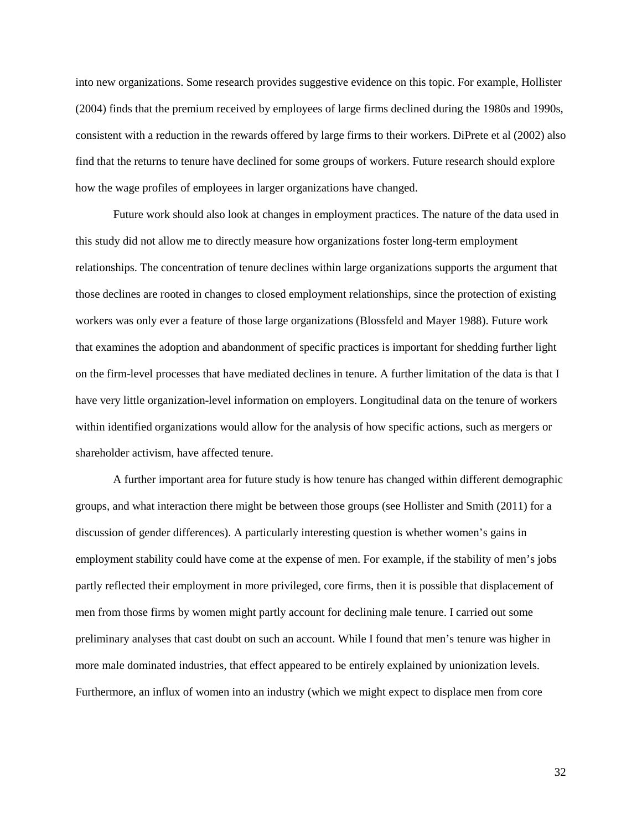into new organizations. Some research provides suggestive evidence on this topic. For example, Hollister [\(2004\)](#page-36-16) finds that the premium received by employees of large firms declined during the 1980s and 1990s, consistent with a reduction in the rewards offered by large firms to their workers. DiPrete et al [\(2002\)](#page-36-22) also find that the returns to tenure have declined for some groups of workers. Future research should explore how the wage profiles of employees in larger organizations have changed.

Future work should also look at changes in employment practices. The nature of the data used in this study did not allow me to directly measure how organizations foster long-term employment relationships. The concentration of tenure declines within large organizations supports the argument that those declines are rooted in changes to closed employment relationships, since the protection of existing workers was only ever a feature of those large organizations [\(Blossfeld and Mayer 1988\)](#page-35-18). Future work that examines the adoption and abandonment of specific practices is important for shedding further light on the firm-level processes that have mediated declines in tenure. A further limitation of the data is that I have very little organization-level information on employers. Longitudinal data on the tenure of workers within identified organizations would allow for the analysis of how specific actions, such as mergers or shareholder activism, have affected tenure.

A further important area for future study is how tenure has changed within different demographic groups, and what interaction there might be between those groups (see Hollister and Smith [\(2011\)](#page-36-7) for a discussion of gender differences). A particularly interesting question is whether women's gains in employment stability could have come at the expense of men. For example, if the stability of men's jobs partly reflected their employment in more privileged, core firms, then it is possible that displacement of men from those firms by women might partly account for declining male tenure. I carried out some preliminary analyses that cast doubt on such an account. While I found that men's tenure was higher in more male dominated industries, that effect appeared to be entirely explained by unionization levels. Furthermore, an influx of women into an industry (which we might expect to displace men from core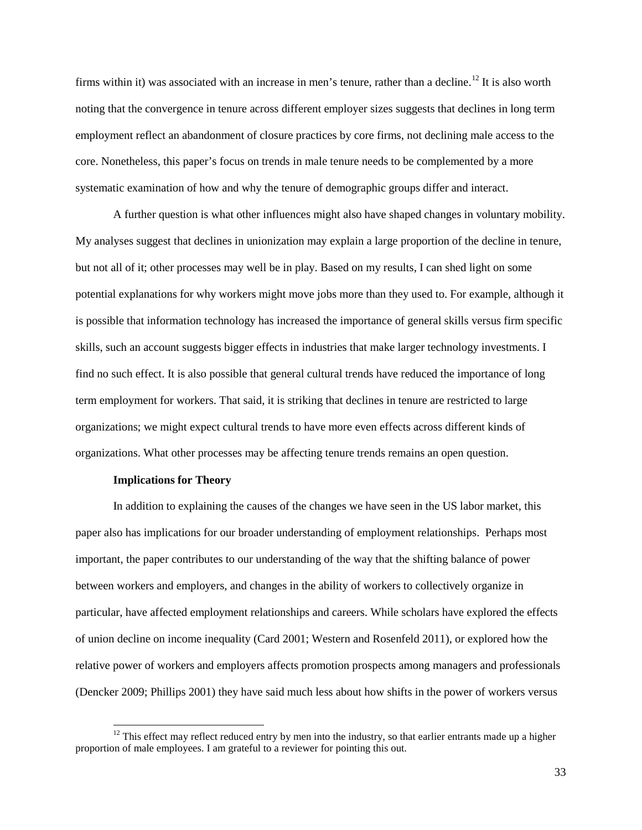firms within it) was associated with an increase in men's tenure, rather than a decline.<sup>[12](#page-32-0)</sup> It is also worth noting that the convergence in tenure across different employer sizes suggests that declines in long term employment reflect an abandonment of closure practices by core firms, not declining male access to the core. Nonetheless, this paper's focus on trends in male tenure needs to be complemented by a more systematic examination of how and why the tenure of demographic groups differ and interact.

A further question is what other influences might also have shaped changes in voluntary mobility. My analyses suggest that declines in unionization may explain a large proportion of the decline in tenure, but not all of it; other processes may well be in play. Based on my results, I can shed light on some potential explanations for why workers might move jobs more than they used to. For example, although it is possible that information technology has increased the importance of general skills versus firm specific skills, such an account suggests bigger effects in industries that make larger technology investments. I find no such effect. It is also possible that general cultural trends have reduced the importance of long term employment for workers. That said, it is striking that declines in tenure are restricted to large organizations; we might expect cultural trends to have more even effects across different kinds of organizations. What other processes may be affecting tenure trends remains an open question.

### **Implications for Theory**

In addition to explaining the causes of the changes we have seen in the US labor market, this paper also has implications for our broader understanding of employment relationships. Perhaps most important, the paper contributes to our understanding of the way that the shifting balance of power between workers and employers, and changes in the ability of workers to collectively organize in particular, have affected employment relationships and careers. While scholars have explored the effects of union decline on income inequality [\(Card 2001;](#page-36-23) [Western and Rosenfeld 2011\)](#page-38-7), or explored how the relative power of workers and employers affects promotion prospects among managers and professionals [\(Dencker 2009;](#page-36-24) [Phillips 2001\)](#page-37-27) they have said much less about how shifts in the power of workers versus

<span id="page-32-0"></span> $12$  This effect may reflect reduced entry by men into the industry, so that earlier entrants made up a higher proportion of male employees. I am grateful to a reviewer for pointing this out.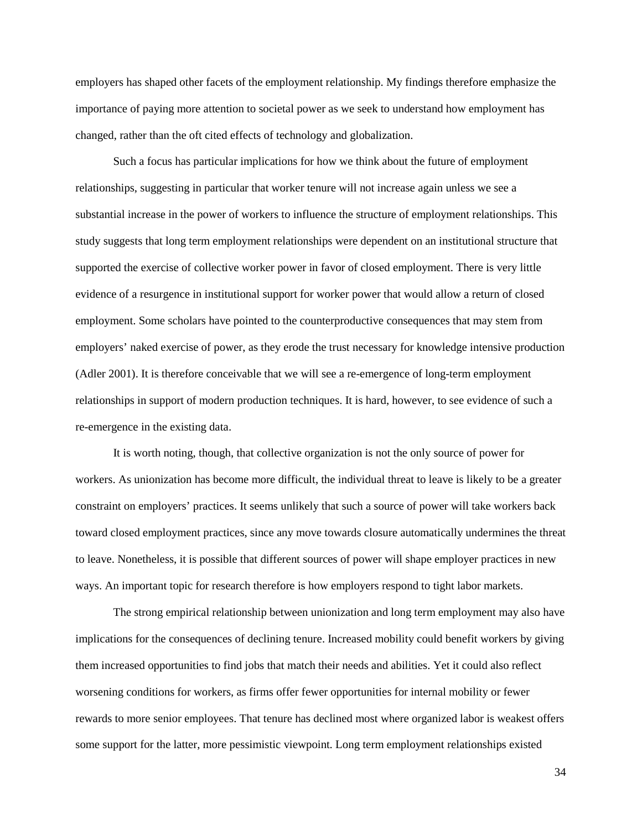employers has shaped other facets of the employment relationship. My findings therefore emphasize the importance of paying more attention to societal power as we seek to understand how employment has changed, rather than the oft cited effects of technology and globalization.

Such a focus has particular implications for how we think about the future of employment relationships, suggesting in particular that worker tenure will not increase again unless we see a substantial increase in the power of workers to influence the structure of employment relationships. This study suggests that long term employment relationships were dependent on an institutional structure that supported the exercise of collective worker power in favor of closed employment. There is very little evidence of a resurgence in institutional support for worker power that would allow a return of closed employment. Some scholars have pointed to the counterproductive consequences that may stem from employers' naked exercise of power, as they erode the trust necessary for knowledge intensive production [\(Adler 2001\)](#page-35-22). It is therefore conceivable that we will see a re-emergence of long-term employment relationships in support of modern production techniques. It is hard, however, to see evidence of such a re-emergence in the existing data.

It is worth noting, though, that collective organization is not the only source of power for workers. As unionization has become more difficult, the individual threat to leave is likely to be a greater constraint on employers' practices. It seems unlikely that such a source of power will take workers back toward closed employment practices, since any move towards closure automatically undermines the threat to leave. Nonetheless, it is possible that different sources of power will shape employer practices in new ways. An important topic for research therefore is how employers respond to tight labor markets.

The strong empirical relationship between unionization and long term employment may also have implications for the consequences of declining tenure. Increased mobility could benefit workers by giving them increased opportunities to find jobs that match their needs and abilities. Yet it could also reflect worsening conditions for workers, as firms offer fewer opportunities for internal mobility or fewer rewards to more senior employees. That tenure has declined most where organized labor is weakest offers some support for the latter, more pessimistic viewpoint. Long term employment relationships existed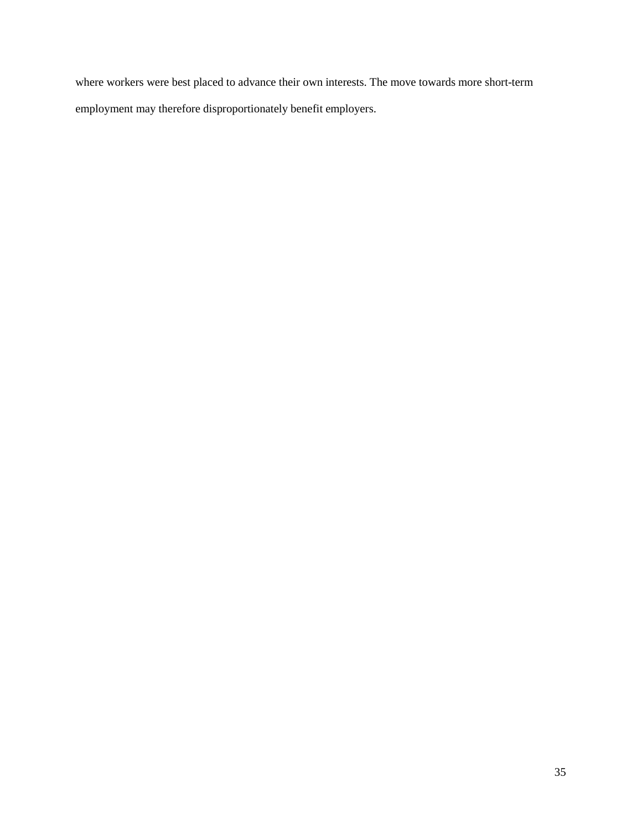where workers were best placed to advance their own interests. The move towards more short-term employment may therefore disproportionately benefit employers.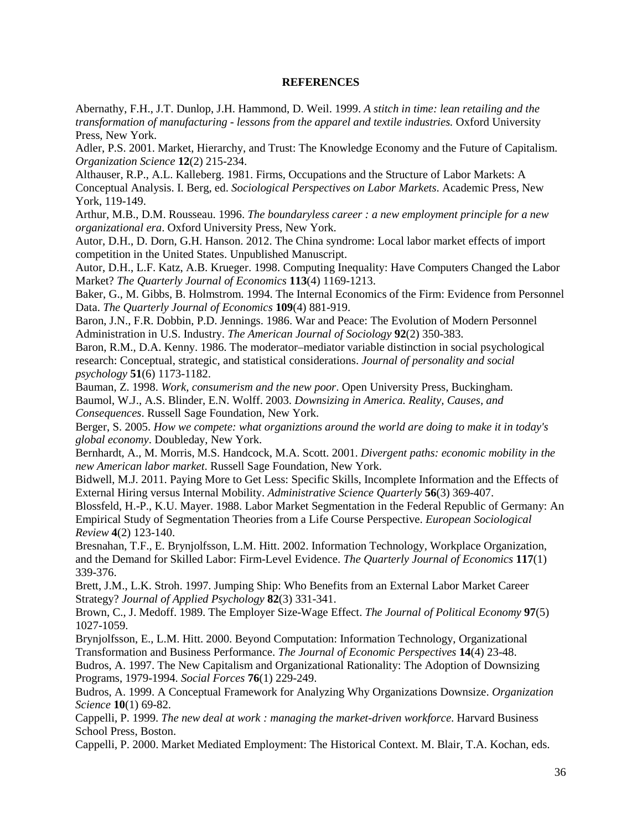### **REFERENCES**

<span id="page-35-13"></span>Abernathy, F.H., J.T. Dunlop, J.H. Hammond, D. Weil. 1999. *A stitch in time: lean retailing and the transformation of manufacturing - lessons from the apparel and textile industries.* Oxford University Press, New York.

<span id="page-35-22"></span>Adler, P.S. 2001. Market, Hierarchy, and Trust: The Knowledge Economy and the Future of Capitalism. *Organization Science* **12**(2) 215-234.

<span id="page-35-9"></span>Althauser, R.P., A.L. Kalleberg. 1981. Firms, Occupations and the Structure of Labor Markets: A Conceptual Analysis. I. Berg, ed. *Sociological Perspectives on Labor Markets*. Academic Press, New York, 119-149.

<span id="page-35-0"></span>Arthur, M.B., D.M. Rousseau. 1996. *The boundaryless career : a new employment principle for a new organizational era*. Oxford University Press, New York.

<span id="page-35-14"></span>Autor, D.H., D. Dorn, G.H. Hanson. 2012. The China syndrome: Local labor market effects of import competition in the United States. Unpublished Manuscript.

<span id="page-35-17"></span>Autor, D.H., L.F. Katz, A.B. Krueger. 1998. Computing Inequality: Have Computers Changed the Labor Market? *The Quarterly Journal of Economics* **113**(4) 1169-1213.

<span id="page-35-5"></span>Baker, G., M. Gibbs, B. Holmstrom. 1994. The Internal Economics of the Firm: Evidence from Personnel Data. *The Quarterly Journal of Economics* **109**(4) 881-919.

<span id="page-35-11"></span>Baron, J.N., F.R. Dobbin, P.D. Jennings. 1986. War and Peace: The Evolution of Modern Personnel Administration in U.S. Industry. *The American Journal of Sociology* **92**(2) 350-383.

<span id="page-35-20"></span>Baron, R.M., D.A. Kenny. 1986. The moderator–mediator variable distinction in social psychological research: Conceptual, strategic, and statistical considerations. *Journal of personality and social psychology* **51**(6) 1173-1182.

<span id="page-35-7"></span><span id="page-35-2"></span>Bauman, Z. 1998. *Work, consumerism and the new poor*. Open University Press, Buckingham. Baumol, W.J., A.S. Blinder, E.N. Wolff. 2003. *Downsizing in America. Reality, Causes, and Consequences*. Russell Sage Foundation, New York.

<span id="page-35-12"></span>Berger, S. 2005. *How we compete: what organiztions around the world are doing to make it in today's global economy*. Doubleday, New York.

<span id="page-35-4"></span>Bernhardt, A., M. Morris, M.S. Handcock, M.A. Scott. 2001. *Divergent paths: economic mobility in the new American labor market*. Russell Sage Foundation, New York.

<span id="page-35-6"></span>Bidwell, M.J. 2011. Paying More to Get Less: Specific Skills, Incomplete Information and the Effects of External Hiring versus Internal Mobility. *Administrative Science Quarterly* **56**(3) 369-407.

<span id="page-35-18"></span>Blossfeld, H.-P., K.U. Mayer. 1988. Labor Market Segmentation in the Federal Republic of Germany: An Empirical Study of Segmentation Theories from a Life Course Perspective. *European Sociological Review* **4**(2) 123-140.

<span id="page-35-15"></span>Bresnahan, T.F., E. Brynjolfsson, L.M. Hitt. 2002. Information Technology, Workplace Organization, and the Demand for Skilled Labor: Firm-Level Evidence. *The Quarterly Journal of Economics* **117**(1) 339-376.

<span id="page-35-3"></span>Brett, J.M., L.K. Stroh. 1997. Jumping Ship: Who Benefits from an External Labor Market Career Strategy? *Journal of Applied Psychology* **82**(3) 331-341.

<span id="page-35-19"></span>Brown, C., J. Medoff. 1989. The Employer Size-Wage Effect. *The Journal of Political Economy* **97**(5) 1027-1059.

<span id="page-35-16"></span>Brynjolfsson, E., L.M. Hitt. 2000. Beyond Computation: Information Technology, Organizational Transformation and Business Performance. *The Journal of Economic Perspectives* **14**(4) 23-48.

<span id="page-35-21"></span>Budros, A. 1997. The New Capitalism and Organizational Rationality: The Adoption of Downsizing Programs, 1979-1994. *Social Forces* **76**(1) 229-249.

<span id="page-35-8"></span>Budros, A. 1999. A Conceptual Framework for Analyzing Why Organizations Downsize. *Organization Science* **10**(1) 69-82.

<span id="page-35-1"></span>Cappelli, P. 1999. *The new deal at work : managing the market-driven workforce*. Harvard Business School Press, Boston.

<span id="page-35-10"></span>Cappelli, P. 2000. Market Mediated Employment: The Historical Context. M. Blair, T.A. Kochan, eds.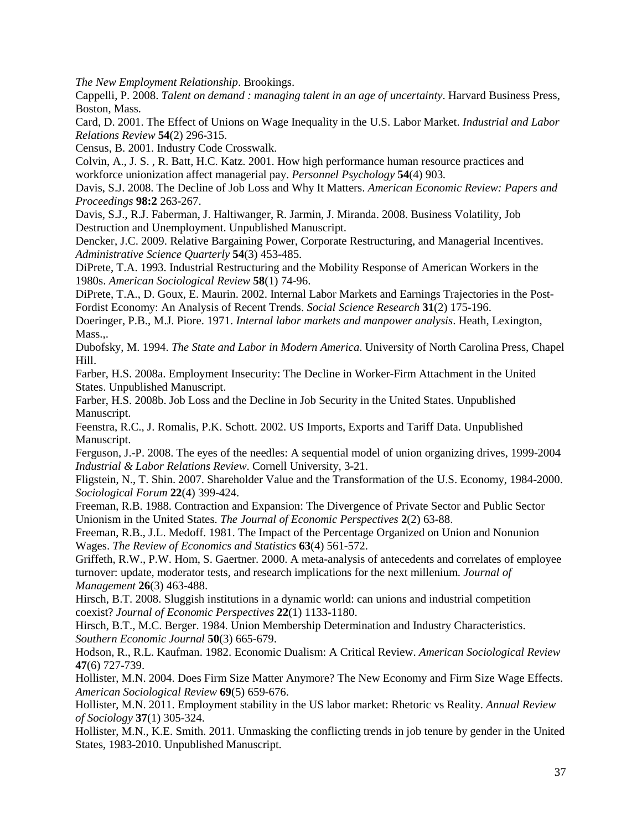*The New Employment Relationship*. Brookings.

<span id="page-36-2"></span>Cappelli, P. 2008. *Talent on demand : managing talent in an age of uncertainty*. Harvard Business Press, Boston, Mass.

<span id="page-36-23"></span>Card, D. 2001. The Effect of Unions on Wage Inequality in the U.S. Labor Market. *Industrial and Labor Relations Review* **54**(2) 296-315.

<span id="page-36-18"></span>Census, B. 2001. Industry Code Crosswalk.

<span id="page-36-21"></span>Colvin, A., J. S. , R. Batt, H.C. Katz. 2001. How high performance human resource practices and workforce unionization affect managerial pay. *Personnel Psychology* **54**(4) 903.

<span id="page-36-4"></span>Davis, S.J. 2008. The Decline of Job Loss and Why It Matters. *American Economic Review: Papers and Proceedings* **98:2** 263-267.

<span id="page-36-5"></span>Davis, S.J., R.J. Faberman, J. Haltiwanger, R. Jarmin, J. Miranda. 2008. Business Volatility, Job Destruction and Unemployment. Unpublished Manuscript.

<span id="page-36-24"></span>Dencker, J.C. 2009. Relative Bargaining Power, Corporate Restructuring, and Managerial Incentives. *Administrative Science Quarterly* **54**(3) 453-485.

<span id="page-36-8"></span>DiPrete, T.A. 1993. Industrial Restructuring and the Mobility Response of American Workers in the 1980s. *American Sociological Review* **58**(1) 74-96.

<span id="page-36-22"></span>DiPrete, T.A., D. Goux, E. Maurin. 2002. Internal Labor Markets and Earnings Trajectories in the Post-Fordist Economy: An Analysis of Recent Trends. *Social Science Research* **31**(2) 175-196.

<span id="page-36-10"></span>Doeringer, P.B., M.J. Piore. 1971. *Internal labor markets and manpower analysis*. Heath, Lexington, Mass...

<span id="page-36-14"></span>Dubofsky, M. 1994. *The State and Labor in Modern America*. University of North Carolina Press, Chapel Hill.

<span id="page-36-0"></span>Farber, H.S. 2008a. Employment Insecurity: The Decline in Worker-Firm Attachment in the United States. Unpublished Manuscript.

<span id="page-36-6"></span>Farber, H.S. 2008b. Job Loss and the Decline in Job Security in the United States. Unpublished Manuscript.

<span id="page-36-17"></span>Feenstra, R.C., J. Romalis, P.K. Schott. 2002. US Imports, Exports and Tariff Data. Unpublished Manuscript.

<span id="page-36-20"></span>Ferguson, J.-P. 2008. The eyes of the needles: A sequential model of union organizing drives, 1999-2004 *Industrial & Labor Relations Review*. Cornell University, 3-21.

<span id="page-36-3"></span>Fligstein, N., T. Shin. 2007. Shareholder Value and the Transformation of the U.S. Economy, 1984-2000. *Sociological Forum* **22**(4) 399-424.

<span id="page-36-12"></span>Freeman, R.B. 1988. Contraction and Expansion: The Divergence of Private Sector and Public Sector Unionism in the United States. *The Journal of Economic Perspectives* **2**(2) 63-88.

<span id="page-36-19"></span>Freeman, R.B., J.L. Medoff. 1981. The Impact of the Percentage Organized on Union and Nonunion Wages. *The Review of Economics and Statistics* **63**(4) 561-572.

<span id="page-36-9"></span>Griffeth, R.W., P.W. Hom, S. Gaertner. 2000. A meta-analysis of antecedents and correlates of employee turnover: update, moderator tests, and research implications for the next millenium. *Journal of Management* **26**(3) 463-488.

<span id="page-36-13"></span>Hirsch, B.T. 2008. Sluggish institutions in a dynamic world: can unions and industrial competition coexist? *Journal of Economic Perspectives* **22**(1) 1133-1180.

<span id="page-36-15"></span>Hirsch, B.T., M.C. Berger. 1984. Union Membership Determination and Industry Characteristics. *Southern Economic Journal* **50**(3) 665-679.

<span id="page-36-11"></span>Hodson, R., R.L. Kaufman. 1982. Economic Dualism: A Critical Review. *American Sociological Review* **47**(6) 727-739.

<span id="page-36-16"></span>Hollister, M.N. 2004. Does Firm Size Matter Anymore? The New Economy and Firm Size Wage Effects. *American Sociological Review* **69**(5) 659-676.

<span id="page-36-1"></span>Hollister, M.N. 2011. Employment stability in the US labor market: Rhetoric vs Reality. *Annual Review of Sociology* **37**(1) 305-324.

<span id="page-36-7"></span>Hollister, M.N., K.E. Smith. 2011. Unmasking the conflicting trends in job tenure by gender in the United States, 1983-2010. Unpublished Manuscript.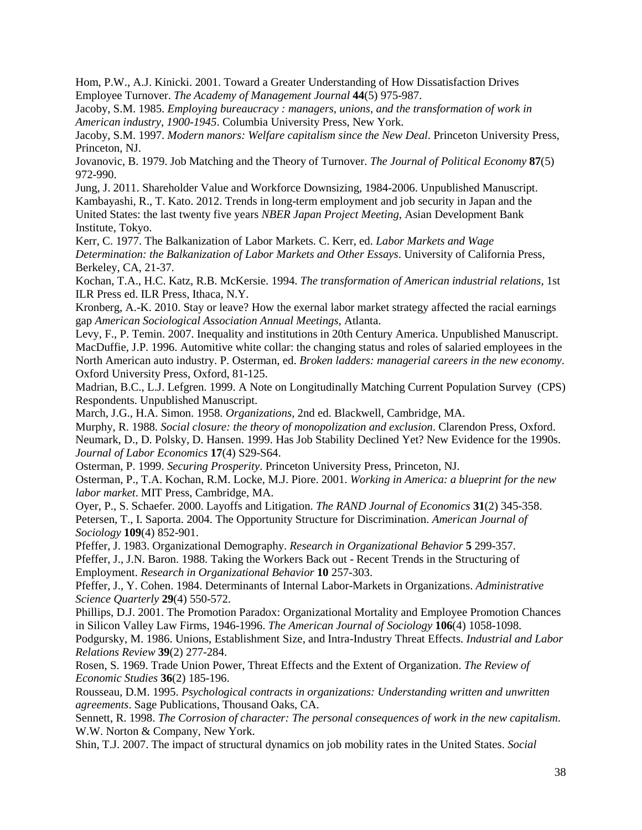<span id="page-37-11"></span>Hom, P.W., A.J. Kinicki. 2001. Toward a Greater Understanding of How Dissatisfaction Drives Employee Turnover. *The Academy of Management Journal* **44**(5) 975-987.

<span id="page-37-15"></span>Jacoby, S.M. 1985. *Employing bureaucracy : managers, unions, and the transformation of work in American industry, 1900-1945*. Columbia University Press, New York.

<span id="page-37-17"></span>Jacoby, S.M. 1997. *Modern manors: Welfare capitalism since the New Deal*. Princeton University Press, Princeton, NJ.

<span id="page-37-4"></span>Jovanovic, B. 1979. Job Matching and the Theory of Turnover. *The Journal of Political Economy* **87**(5) 972-990.

<span id="page-37-26"></span><span id="page-37-25"></span>Jung, J. 2011. Shareholder Value and Workforce Downsizing, 1984-2006. Unpublished Manuscript. Kambayashi, R., T. Kato. 2012. Trends in long-term employment and job security in Japan and the United States: the last twenty five years *NBER Japan Project Meeting*, Asian Development Bank Institute, Tokyo.

<span id="page-37-16"></span>Kerr, C. 1977. The Balkanization of Labor Markets. C. Kerr, ed. *Labor Markets and Wage Determination: the Balkanization of Labor Markets and Other Essays*. University of California Press, Berkeley, CA, 21-37.

<span id="page-37-18"></span>Kochan, T.A., H.C. Katz, R.B. McKersie. 1994. *The transformation of American industrial relations*, 1st ILR Press ed. ILR Press, Ithaca, N.Y.

<span id="page-37-5"></span>Kronberg, A.-K. 2010. Stay or leave? How the exernal labor market strategy affected the racial earnings gap *American Sociological Association Annual Meetings*, Atlanta.

<span id="page-37-23"></span><span id="page-37-19"></span>Levy, F., P. Temin. 2007. Inequality and institutions in 20th Century America. Unpublished Manuscript. MacDuffie, J.P. 1996. Automitive white collar: the changing status and roles of salaried employees in the North American auto industry. P. Osterman, ed. *Broken ladders: managerial careers in the new economy*. Oxford University Press, Oxford, 81-125.

<span id="page-37-22"></span>Madrian, B.C., L.J. Lefgren. 1999. A Note on Longitudinally Matching Current Population Survey (CPS) Respondents. Unpublished Manuscript.

<span id="page-37-12"></span>March, J.G., H.A. Simon. 1958. *Organizations*, 2nd ed. Blackwell, Cambridge, MA.

<span id="page-37-13"></span><span id="page-37-7"></span>Murphy, R. 1988. *Social closure: the theory of monopolization and exclusion*. Clarendon Press, Oxford. Neumark, D., D. Polsky, D. Hansen. 1999. Has Job Stability Declined Yet? New Evidence for the 1990s. *Journal of Labor Economics* **17**(4) S29-S64.

<span id="page-37-0"></span>Osterman, P. 1999. *Securing Prosperity*. Princeton University Press, Princeton, NJ.

<span id="page-37-1"></span>Osterman, P., T.A. Kochan, R.M. Locke, M.J. Piore. 2001. *Working in America: a blueprint for the new labor market*. MIT Press, Cambridge, MA.

<span id="page-37-24"></span><span id="page-37-6"></span>Oyer, P., S. Schaefer. 2000. Layoffs and Litigation. *The RAND Journal of Economics* **31**(2) 345-358. Petersen, T., I. Saporta. 2004. The Opportunity Structure for Discrimination. *American Journal of Sociology* **109**(4) 852-901.

<span id="page-37-9"></span>Pfeffer, J. 1983. Organizational Demography. *Research in Organizational Behavior* **5** 299-357. Pfeffer, J., J.N. Baron. 1988. Taking the Workers Back out - Recent Trends in the Structuring of

<span id="page-37-8"></span>Employment. *Research in Organizational Behavior* **10** 257-303.

<span id="page-37-14"></span>Pfeffer, J., Y. Cohen. 1984. Determinants of Internal Labor-Markets in Organizations. *Administrative Science Quarterly* **29**(4) 550-572.

<span id="page-37-27"></span>Phillips, D.J. 2001. The Promotion Paradox: Organizational Mortality and Employee Promotion Chances in Silicon Valley Law Firms, 1946-1996. *The American Journal of Sociology* **106**(4) 1058-1098.

<span id="page-37-20"></span>Podgursky, M. 1986. Unions, Establishment Size, and Intra-Industry Threat Effects. *Industrial and Labor Relations Review* **39**(2) 277-284.

<span id="page-37-21"></span>Rosen, S. 1969. Trade Union Power, Threat Effects and the Extent of Organization. *The Review of Economic Studies* **36**(2) 185-196.

<span id="page-37-2"></span>Rousseau, D.M. 1995. *Psychological contracts in organizations: Understanding written and unwritten agreements*. Sage Publications, Thousand Oaks, CA.

<span id="page-37-3"></span>Sennett, R. 1998. *The Corrosion of character: The personal consequences of work in the new capitalism*. W.W. Norton & Company, New York.

<span id="page-37-10"></span>Shin, T.J. 2007. The impact of structural dynamics on job mobility rates in the United States. *Social*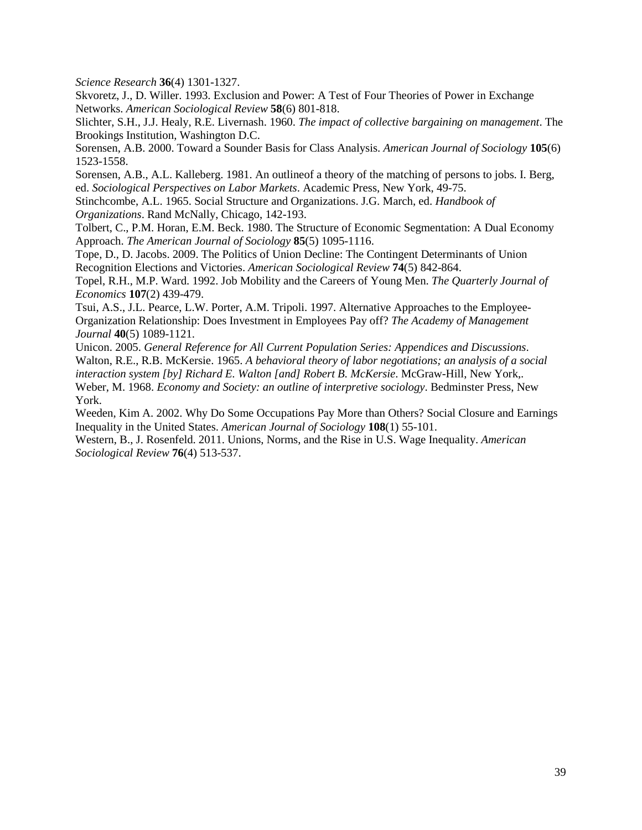*Science Research* **36**(4) 1301-1327.

<span id="page-38-8"></span>Skvoretz, J., D. Willer. 1993. Exclusion and Power: A Test of Four Theories of Power in Exchange Networks. *American Sociological Review* **58**(6) 801-818.

<span id="page-38-5"></span>Slichter, S.H., J.J. Healy, R.E. Livernash. 1960. *The impact of collective bargaining on management*. The Brookings Institution, Washington D.C.

<span id="page-38-1"></span>Sorensen, A.B. 2000. Toward a Sounder Basis for Class Analysis. *American Journal of Sociology* **105**(6) 1523-1558.

<span id="page-38-3"></span>Sorensen, A.B., A.L. Kalleberg. 1981. An outlineof a theory of the matching of persons to jobs. I. Berg, ed. *Sociological Perspectives on Labor Markets*. Academic Press, New York, 49-75.

<span id="page-38-13"></span>Stinchcombe, A.L. 1965. Social Structure and Organizations. J.G. March, ed. *Handbook of Organizations*. Rand McNally, Chicago, 142-193.

<span id="page-38-10"></span>Tolbert, C., P.M. Horan, E.M. Beck. 1980. The Structure of Economic Segmentation: A Dual Economy Approach. *The American Journal of Sociology* **85**(5) 1095-1116.

<span id="page-38-6"></span>Tope, D., D. Jacobs. 2009. The Politics of Union Decline: The Contingent Determinants of Union Recognition Elections and Victories. *American Sociological Review* **74**(5) 842-864.

<span id="page-38-11"></span>Topel, R.H., M.P. Ward. 1992. Job Mobility and the Careers of Young Men. *The Quarterly Journal of Economics* **107**(2) 439-479.

<span id="page-38-0"></span>Tsui, A.S., J.L. Pearce, L.W. Porter, A.M. Tripoli. 1997. Alternative Approaches to the Employee-Organization Relationship: Does Investment in Employees Pay off? *The Academy of Management Journal* **40**(5) 1089-1121.

<span id="page-38-12"></span><span id="page-38-9"></span>Unicon. 2005. *General Reference for All Current Population Series: Appendices and Discussions*. Walton, R.E., R.B. McKersie. 1965. *A behavioral theory of labor negotiations; an analysis of a social interaction system [by] Richard E. Walton [and] Robert B. McKersie*. McGraw-Hill, New York,. Weber, M. 1968. *Economy and Society: an outline of interpretive sociology*. Bedminster Press, New York.

<span id="page-38-4"></span><span id="page-38-2"></span>Weeden, Kim A. 2002. Why Do Some Occupations Pay More than Others? Social Closure and Earnings Inequality in the United States. *American Journal of Sociology* **108**(1) 55-101.

<span id="page-38-7"></span>Western, B., J. Rosenfeld. 2011. Unions, Norms, and the Rise in U.S. Wage Inequality. *American Sociological Review* **76**(4) 513-537.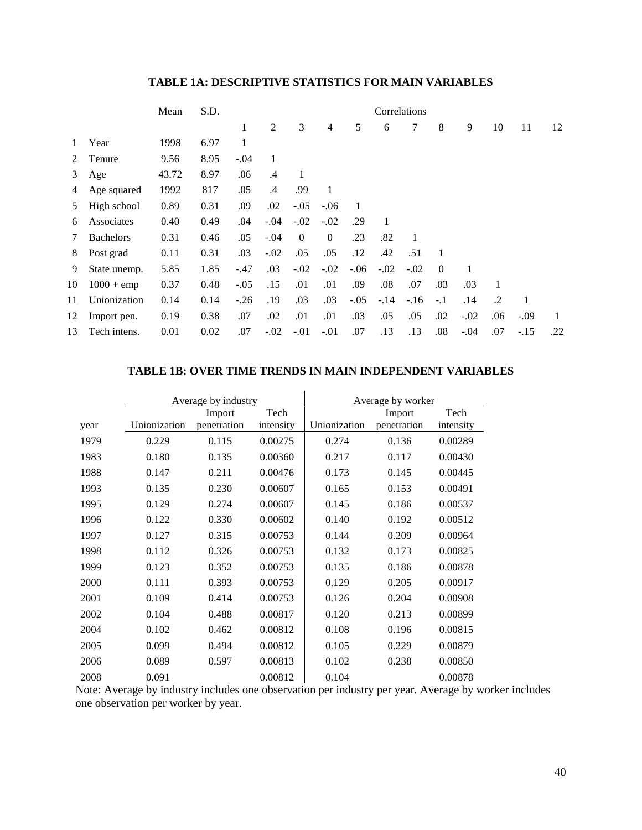# **TABLE 1A: DESCRIPTIVE STATISTICS FOR MAIN VARIABLES**

|    |                  | Mean  | S.D. |              | Correlations |                |                |        |        |        |                |        |     |        |     |
|----|------------------|-------|------|--------------|--------------|----------------|----------------|--------|--------|--------|----------------|--------|-----|--------|-----|
|    |                  |       |      | 1            | 2            | 3              | 4              | 5      | 6      | 7      | 8              | 9      | 10  | 11     | 12  |
|    | Year             | 1998  | 6.97 | $\mathbf{1}$ |              |                |                |        |        |        |                |        |     |        |     |
| 2  | Tenure           | 9.56  | 8.95 | $-.04$       | 1            |                |                |        |        |        |                |        |     |        |     |
| 3  | Age              | 43.72 | 8.97 | .06          | .4           | 1              |                |        |        |        |                |        |     |        |     |
| 4  | Age squared      | 1992  | 817  | .05          | .4           | .99            | 1              |        |        |        |                |        |     |        |     |
| 5  | High school      | 0.89  | 0.31 | .09          | .02          | $-.05$         | $-.06$         | 1      |        |        |                |        |     |        |     |
| 6  | Associates       | 0.40  | 0.49 | .04          | $-.04$       | $-.02$         | $-.02$         | .29    |        |        |                |        |     |        |     |
| 7  | <b>Bachelors</b> | 0.31  | 0.46 | .05          | $-.04$       | $\overline{0}$ | $\overline{0}$ | .23    | .82    | 1      |                |        |     |        |     |
| 8  | Post grad        | 0.11  | 0.31 | .03          | $-.02$       | .05            | .05            | .12    | .42    | .51    |                |        |     |        |     |
| 9  | State unemp.     | 5.85  | 1.85 | $-.47$       | .03          | $-.02$         | $-.02$         | $-.06$ | $-.02$ | $-.02$ | $\overline{0}$ |        |     |        |     |
| 10 | $1000 +$ emp     | 0.37  | 0.48 | $-.05$       | .15          | .01            | .01            | .09    | .08    | .07    | .03            | .03    | 1   |        |     |
| 11 | Unionization     | 0.14  | 0.14 | $-.26$       | .19          | .03            | .03            | $-.05$ | $-.14$ | $-.16$ | $-.1$          | .14    | .2  |        |     |
| 12 | Import pen.      | 0.19  | 0.38 | .07          | .02          | .01            | .01            | .03    | .05    | .05    | .02            | $-.02$ | .06 | $-.09$ | 1   |
| 13 | Tech intens.     | 0.01  | 0.02 | .07          | $-.02$       | $-.01$         | $-.01$         | .07    | .13    | .13    | $.08\,$        | $-.04$ | .07 | $-.15$ | .22 |

# **TABLE 1B: OVER TIME TRENDS IN MAIN INDEPENDENT VARIABLES**

|      |              | Average by industry |           | Average by worker |             |           |  |  |  |
|------|--------------|---------------------|-----------|-------------------|-------------|-----------|--|--|--|
|      |              | Import              | Tech      |                   | Import      | Tech      |  |  |  |
| year | Unionization | penetration         | intensity | Unionization      | penetration | intensity |  |  |  |
| 1979 | 0.229        | 0.115               | 0.00275   | 0.274             | 0.136       | 0.00289   |  |  |  |
| 1983 | 0.180        | 0.135               | 0.00360   | 0.217             | 0.117       | 0.00430   |  |  |  |
| 1988 | 0.147        | 0.211               | 0.00476   | 0.173             | 0.145       | 0.00445   |  |  |  |
| 1993 | 0.135        | 0.230               | 0.00607   | 0.165             | 0.153       | 0.00491   |  |  |  |
| 1995 | 0.129        | 0.274               | 0.00607   | 0.145             | 0.186       | 0.00537   |  |  |  |
| 1996 | 0.122        | 0.330               | 0.00602   | 0.140             | 0.192       | 0.00512   |  |  |  |
| 1997 | 0.127        | 0.315               | 0.00753   | 0.144             | 0.209       | 0.00964   |  |  |  |
| 1998 | 0.112        | 0.326               | 0.00753   | 0.132             | 0.173       | 0.00825   |  |  |  |
| 1999 | 0.123        | 0.352               | 0.00753   | 0.135             | 0.186       | 0.00878   |  |  |  |
| 2000 | 0.111        | 0.393               | 0.00753   | 0.129             | 0.205       | 0.00917   |  |  |  |
| 2001 | 0.109        | 0.414               | 0.00753   | 0.126             | 0.204       | 0.00908   |  |  |  |
| 2002 | 0.104        | 0.488               | 0.00817   | 0.120             | 0.213       | 0.00899   |  |  |  |
| 2004 | 0.102        | 0.462               | 0.00812   | 0.108             | 0.196       | 0.00815   |  |  |  |
| 2005 | 0.099        | 0.494               | 0.00812   | 0.105             | 0.229       | 0.00879   |  |  |  |
| 2006 | 0.089        | 0.597               | 0.00813   | 0.102             | 0.238       | 0.00850   |  |  |  |
| 2008 | 0.091        |                     | 0.00812   | 0.104             |             | 0.00878   |  |  |  |

Note: Average by industry includes one observation per industry per year. Average by worker includes one observation per worker by year.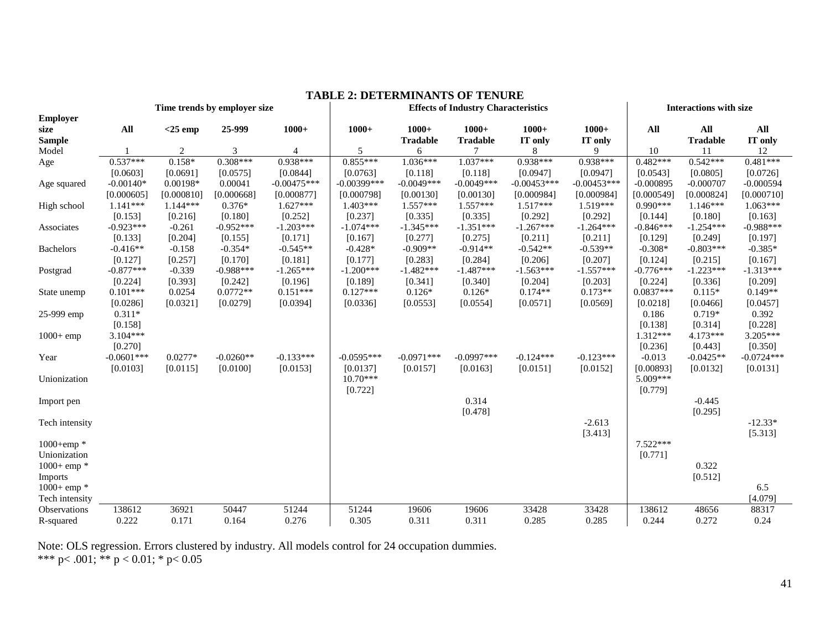|                       |               |                |                              |                | TADLE 2. DETENNINANTS OF TENUNE |                 |                                            |               |               |             |                        |              |
|-----------------------|---------------|----------------|------------------------------|----------------|---------------------------------|-----------------|--------------------------------------------|---------------|---------------|-------------|------------------------|--------------|
|                       |               |                | Time trends by employer size |                |                                 |                 | <b>Effects of Industry Characteristics</b> |               |               |             | Interactions with size |              |
| <b>Employer</b>       |               |                |                              |                |                                 |                 |                                            |               |               |             |                        |              |
| size                  | All           | $<$ 25 emp     | 25-999                       | $1000+$        | $1000+$                         | $1000+$         | $1000+$                                    | $1000+$       | $1000+$       | All         | All                    | All          |
| <b>Sample</b>         |               |                |                              |                |                                 | <b>Tradable</b> | <b>Tradable</b>                            | IT only       | IT only       |             | <b>Tradable</b>        | IT only      |
| Model                 |               | $\overline{2}$ | 3                            | $\overline{4}$ | 5                               | 6               | 7                                          | 8             | 9             | 10          | 11                     | 12           |
| Age                   | $0.537***$    | $0.158*$       | $0.308***$                   | 0.938***       | $0.855***$                      | $1.036***$      | 1.037***                                   | $0.938***$    | $0.938***$    | $0.482***$  | $0.542***$             | $0.481***$   |
|                       | [0.0603]      | [0.0691]       | [0.0575]                     | [0.0844]       | [0.0763]                        | [0.118]         | [0.118]                                    | [0.0947]      | [0.0947]      | [0.0543]    | [0.0805]               | [0.0726]     |
| Age squared           | $-0.00140*$   | $0.00198*$     | 0.00041                      | $-0.00475***$  | $-0.00399$ ***                  | $-0.0049***$    | $-0.0049***$                               | $-0.00453***$ | $-0.00453***$ | $-0.000895$ | $-0.000707$            | $-0.000594$  |
|                       | [0.000605]    | [0.000810]     | [0.000668]                   | [0.000877]     | [0.000798]                      | [0.00130]       | [0.00130]                                  | [0.000984]    | [0.000984]    | [0.000549]  | [0.000824]             | [0.000710]   |
| High school           | $1.141***$    | $1.144***$     | $0.376*$                     | $1.627***$     | $1.403***$                      | $1.557***$      | $1.557***$                                 | $1.517***$    | $1.519***$    | $0.990***$  | $1.146***$             | $1.063***$   |
|                       | [0.153]       | [0.216]        | [0.180]                      | [0.252]        | [0.237]                         | [0.335]         | [0.335]                                    | [0.292]       | [0.292]       | [0.144]     | [0.180]                | [0.163]      |
| Associates            | $-0.923***$   | $-0.261$       | $-0.952***$                  | $-1.203***$    | $-1.074***$                     | $-1.345***$     | $-1.351***$                                | $-1.267***$   | $-1.264***$   | $-0.846***$ | $-1.254***$            | $-0.988***$  |
|                       | [0.133]       | [0.204]        | [0.155]                      | [0.171]        | [0.167]                         | [0.277]         | [0.275]                                    | [0.211]       | [0.211]       | [0.129]     | [0.249]                | [0.197]      |
| <b>Bachelors</b>      | $-0.416**$    | $-0.158$       | $-0.354*$                    | $-0.545**$     | $-0.428*$                       | $-0.909**$      | $-0.914**$                                 | $-0.542**$    | $-0.539**$    | $-0.308*$   | $-0.803***$            | $-0.385*$    |
|                       | [0.127]       | [0.257]        | [0.170]                      | [0.181]        | [0.177]                         | [0.283]         | [0.284]                                    | [0.206]       | [0.207]       | [0.124]     | [0.215]                | [0.167]      |
| Postgrad              | $-0.877***$   | $-0.339$       | $-0.988***$                  | $-1.265***$    | $-1.200***$                     | $-1.482***$     | $-1.487***$                                | $-1.563***$   | $-1.557***$   | $-0.776***$ | $-1.223***$            | $-1.313***$  |
|                       | [0.224]       | [0.393]        | [0.242]                      | [0.196]        | [0.189]                         | [0.341]         | [0.340]                                    | [0.204]       | [0.203]       | [0.224]     | [0.336]                | [0.209]      |
| State unemp           | $0.101***$    | 0.0254         | $0.0772**$                   | $0.151***$     | $0.127***$                      | $0.126*$        | $0.126*$                                   | $0.174**$     | $0.173**$     | $0.0837***$ | $0.115*$               | $0.149**$    |
|                       | [0.0286]      | [0.0321]       | [0.0279]                     | [0.0394]       | [0.0336]                        | [0.0553]        | [0.0554]                                   | [0.0571]      | [0.0569]      | [0.0218]    | [0.0466]               | [0.0457]     |
| 25-999 emp            | $0.311*$      |                |                              |                |                                 |                 |                                            |               |               | 0.186       | $0.719*$               | 0.392        |
|                       | [0.158]       |                |                              |                |                                 |                 |                                            |               |               | [0.138]     | [0.314]                | [0.228]      |
| $1000+$ emp           | $3.104***$    |                |                              |                |                                 |                 |                                            |               |               | $1.312***$  | $4.173***$             | $3.205***$   |
|                       | [0.270]       |                |                              |                |                                 |                 |                                            |               |               | [0.236]     | [0.443]                | [0.350]      |
| Year                  | $-0.0601$ *** | $0.0277*$      | $-0.0260**$                  | $-0.133***$    | $-0.0595***$                    | $-0.0971***$    | $-0.0997$ ***                              | $-0.124***$   | $-0.123***$   | $-0.013$    | $-0.0425**$            | $-0.0724***$ |
|                       | [0.0103]      | [0.0115]       | [0.0100]                     | [0.0153]       | [0.0137]                        | [0.0157]        | [0.0163]                                   | [0.0151]      | [0.0152]      | [0.00893]   | [0.0132]               | [0.0131]     |
| Unionization          |               |                |                              |                | $10.70***$                      |                 |                                            |               |               | 5.009***    |                        |              |
|                       |               |                |                              |                | [0.722]                         |                 |                                            |               |               | [0.779]     |                        |              |
| Import pen            |               |                |                              |                |                                 |                 | 0.314                                      |               |               |             | $-0.445$               |              |
|                       |               |                |                              |                |                                 |                 | [0.478]                                    |               |               |             | [0.295]                |              |
| Tech intensity        |               |                |                              |                |                                 |                 |                                            |               | $-2.613$      |             |                        | $-12.33*$    |
|                       |               |                |                              |                |                                 |                 |                                            |               | [3.413]       |             |                        | [5.313]      |
| $1000 + \text{emp}$ * |               |                |                              |                |                                 |                 |                                            |               |               | 7.522***    |                        |              |
| Unionization          |               |                |                              |                |                                 |                 |                                            |               |               | [0.771]     |                        |              |
| $1000+$ emp $*$       |               |                |                              |                |                                 |                 |                                            |               |               |             | 0.322                  |              |
| Imports               |               |                |                              |                |                                 |                 |                                            |               |               |             | [0.512]                |              |
| $1000 +$ emp $*$      |               |                |                              |                |                                 |                 |                                            |               |               |             |                        | 6.5          |
| Tech intensity        |               |                |                              |                |                                 |                 |                                            |               |               |             |                        | [4.079]      |
| Observations          | 138612        | 36921          | 50447                        | 51244          | 51244                           | 19606           | 19606                                      | 33428         | 33428         | 138612      | 48656                  | 88317        |
| R-squared             | 0.222         | 0.171          | 0.164                        | 0.276          | 0.305                           | 0.311           | 0.311                                      | 0.285         | 0.285         | 0.244       | 0.272                  | 0.24         |

# **TABLE 2: DETERMINANTS OF TENURE**

Note: OLS regression. Errors clustered by industry. All models control for 24 occupation dummies.

\*\*\* p< .001; \*\* p < 0.01; \* p< 0.05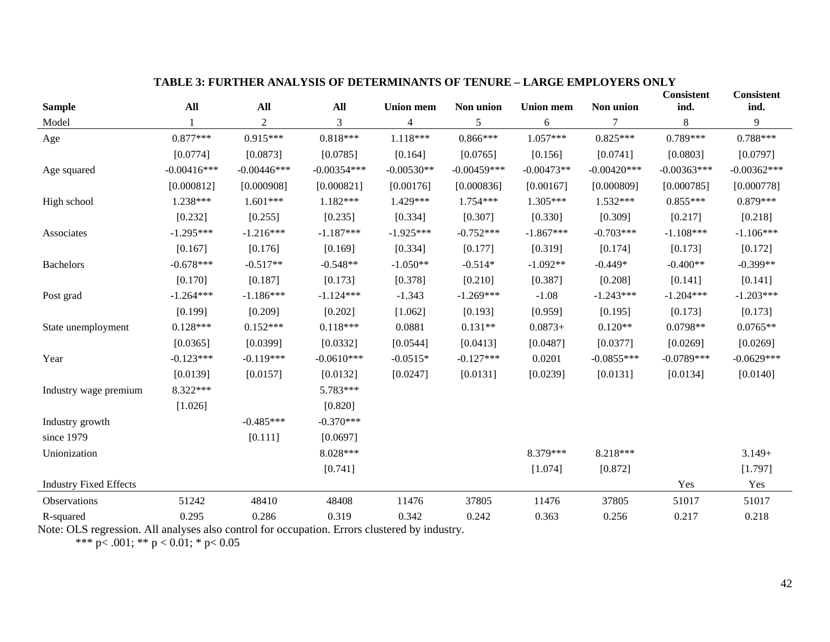|                               |               |                |               |                  |               |                  |                  | <b>Consistent</b> | <b>Consistent</b> |
|-------------------------------|---------------|----------------|---------------|------------------|---------------|------------------|------------------|-------------------|-------------------|
| <b>Sample</b>                 | All           | All            | All           | <b>Union mem</b> | Non union     | <b>Union mem</b> | Non union        | ind.              | ind.              |
| Model                         |               | $\overline{c}$ | 3             | $\overline{4}$   | 5             | $6\,$            | $\boldsymbol{7}$ | 8                 | 9                 |
| Age                           | $0.877***$    | $0.915***$     | $0.818***$    | 1.118***         | $0.866***$    | $1.057***$       | $0.825***$       | $0.789***$        | $0.788***$        |
|                               | [0.0774]      | [0.0873]       | [0.0785]      | [0.164]          | [0.0765]      | [0.156]          | [0.0741]         | [0.0803]          | [0.0797]          |
| Age squared                   | $-0.00416***$ | $-0.00446$ *** | $-0.00354***$ | $-0.00530**$     | $-0.00459***$ | $-0.00473**$     | $-0.00420***$    | $-0.00363***$     | $-0.00362***$     |
|                               | [0.000812]    | [0.000908]     | [0.000821]    | [0.00176]        | [0.000836]    | [0.00167]        | [0.000809]       | [0.000785]        | [0.000778]        |
| High school                   | 1.238***      | $1.601***$     | $1.182***$    | $1.429***$       | $1.754***$    | $1.305***$       | $1.532***$       | $0.855***$        | $0.879***$        |
|                               | [0.232]       | [0.255]        | [0.235]       | [0.334]          | [0.307]       | [0.330]          | [0.309]          | [0.217]           | [0.218]           |
| Associates                    | $-1.295***$   | $-1.216***$    | $-1.187***$   | $-1.925***$      | $-0.752***$   | $-1.867***$      | $-0.703***$      | $-1.108***$       | $-1.106***$       |
|                               | [0.167]       | [0.176]        | [0.169]       | [0.334]          | [0.177]       | [0.319]          | [0.174]          | [0.173]           | [0.172]           |
| <b>Bachelors</b>              | $-0.678***$   | $-0.517**$     | $-0.548**$    | $-1.050**$       | $-0.514*$     | $-1.092**$       | $-0.449*$        | $-0.400**$        | $-0.399**$        |
|                               | [0.170]       | [0.187]        | [0.173]       | [0.378]          | [0.210]       | [0.387]          | [0.208]          | [0.141]           | [0.141]           |
| Post grad                     | $-1.264***$   | $-1.186***$    | $-1.124***$   | $-1.343$         | $-1.269***$   | $-1.08$          | $-1.243***$      | $-1.204***$       | $-1.203***$       |
|                               | [0.199]       | [0.209]        | [0.202]       | [1.062]          | [0.193]       | [0.959]          | [0.195]          | [0.173]           | [0.173]           |
| State unemployment            | $0.128***$    | $0.152***$     | $0.118***$    | 0.0881           | $0.131**$     | $0.0873+$        | $0.120**$        | $0.0798**$        | $0.0765**$        |
|                               | [0.0365]      | [0.0399]       | [0.0332]      | [0.0544]         | [0.0413]      | [0.0487]         | [0.0377]         | [0.0269]          | [0.0269]          |
| Year                          | $-0.123***$   | $-0.119***$    | $-0.0610***$  | $-0.0515*$       | $-0.127***$   | 0.0201           | $-0.0855***$     | $-0.0789***$      | $-0.0629***$      |
|                               | [0.0139]      | [0.0157]       | [0.0132]      | [0.0247]         | [0.0131]      | [0.0239]         | [0.0131]         | [0.0134]          | [0.0140]          |
| Industry wage premium         | 8.322***      |                | 5.783***      |                  |               |                  |                  |                   |                   |
|                               | [1.026]       |                | [0.820]       |                  |               |                  |                  |                   |                   |
| Industry growth               |               | $-0.485***$    | $-0.370***$   |                  |               |                  |                  |                   |                   |
| since 1979                    |               | [0.111]        | [0.0697]      |                  |               |                  |                  |                   |                   |
| Unionization                  |               |                | 8.028***      |                  |               | 8.379***         | 8.218***         |                   | $3.149+$          |
|                               |               |                | [0.741]       |                  |               | [1.074]          | [0.872]          |                   | [1.797]           |
| <b>Industry Fixed Effects</b> |               |                |               |                  |               |                  |                  | Yes               | Yes               |
| Observations                  | 51242         | 48410          | 48408         | 11476            | 37805         | 11476            | 37805            | 51017             | 51017             |
| R-squared                     | 0.295         | 0.286          | 0.319         | 0.342            | 0.242         | 0.363            | 0.256            | 0.217             | 0.218             |

# **TABLE 3: FURTHER ANALYSIS OF DETERMINANTS OF TENURE – LARGE EMPLOYERS ONLY**

Note: OLS regression. All analyses also control for occupation. Errors clustered by industry.

\*\*\* p< .001; \*\* p < 0.01; \* p< 0.05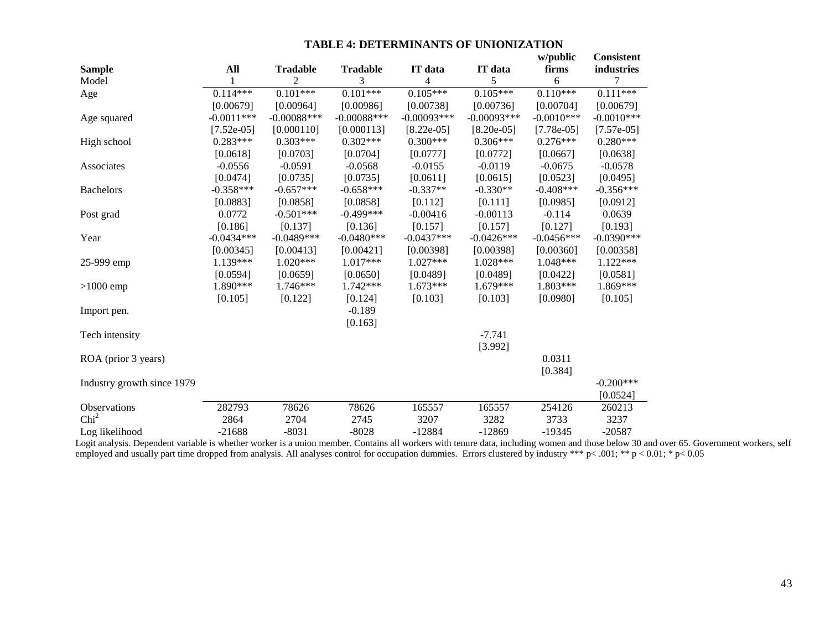|                            |              |                 |                 |                |               | w/public     | <b>Consistent</b> |
|----------------------------|--------------|-----------------|-----------------|----------------|---------------|--------------|-------------------|
| <b>Sample</b>              | All          | <b>Tradable</b> | <b>Tradable</b> | <b>IT</b> data | IT data       | firms        | industries        |
| Model                      |              | $\overline{2}$  | 3               | 4              | 5             | 6            | 7                 |
| Age                        | $0.114***$   | $0.101***$      | $0.101***$      | $0.105***$     | $0.105***$    | $0.110***$   | $0.111***$        |
|                            | [0.00679]    | [0.00964]       | [0.00986]       | [0.00738]      | [0.00736]     | [0.00704]    | [0.00679]         |
| Age squared                | $-0.0011***$ | $-0.00088$ ***  | $-0.00088$ ***  | $-0.00093***$  | $-0.00093***$ | $-0.0010***$ | $-0.0010***$      |
|                            | $[7.52e-05]$ | [0.000110]      | [0.000113]      | $[8.22e-05]$   | $[8.20e-05]$  | $[7.78e-05]$ | $[7.57e-05]$      |
| High school                | $0.283***$   | $0.303***$      | $0.302***$      | $0.300***$     | $0.306***$    | $0.276***$   | $0.280***$        |
|                            | [0.0618]     | [0.0703]        | [0.0704]        | [0.0777]       | [0.0772]      | [0.0667]     | [0.0638]          |
| Associates                 | $-0.0556$    | $-0.0591$       | $-0.0568$       | $-0.0155$      | $-0.0119$     | $-0.0675$    | $-0.0578$         |
|                            | [0.0474]     | [0.0735]        | [0.0735]        | [0.0611]       | [0.0615]      | [0.0523]     | [0.0495]          |
| <b>Bachelors</b>           | $-0.358***$  | $-0.657***$     | $-0.658***$     | $-0.337**$     | $-0.330**$    | $-0.408$ *** | $-0.356***$       |
|                            | [0.0883]     | [0.0858]        | [0.0858]        | [0.112]        | [0.111]       | [0.0985]     | [0.0912]          |
| Post grad                  | 0.0772       | $-0.501***$     | $-0.499***$     | $-0.00416$     | $-0.00113$    | $-0.114$     | 0.0639            |
|                            | [0.186]      | [0.137]         | [0.136]         | [0.157]        | [0.157]       | [0.127]      | [0.193]           |
| Year                       | $-0.0434***$ | $-0.0489***$    | $-0.0480***$    | $-0.0437***$   | $-0.0426***$  | $-0.0456***$ | $-0.0390$ ***     |
|                            | [0.00345]    | [0.00413]       | [0.00421]       | [0.00398]      | [0.00398]     | [0.00360]    | [0.00358]         |
| 25-999 emp                 | 1.139***     | $1.020***$      | 1.017***        | $1.027***$     | 1.028***      | 1.048***     | 1.122***          |
|                            | [0.0594]     | [0.0659]        | [0.0650]        | [0.0489]       | [0.0489]      | [0.0422]     | [0.0581]          |
| $>1000$ emp                | 1.890***     | $1.746***$      | 1.742***        | $1.673***$     | $1.679***$    | 1.803***     | 1.869***          |
|                            | [0.105]      | [0.122]         | [0.124]         | [0.103]        | [0.103]       | [0.0980]     | [0.105]           |
| Import pen.                |              |                 | $-0.189$        |                |               |              |                   |
|                            |              |                 | [0.163]         |                |               |              |                   |
| Tech intensity             |              |                 |                 |                | $-7.741$      |              |                   |
|                            |              |                 |                 |                | [3.992]       |              |                   |
| ROA (prior 3 years)        |              |                 |                 |                |               | 0.0311       |                   |
|                            |              |                 |                 |                |               | [0.384]      |                   |
| Industry growth since 1979 |              |                 |                 |                |               |              | $-0.200***$       |
|                            |              |                 |                 |                |               |              | [0.0524]          |
| Observations               | 282793       | 78626           | 78626           | 165557         | 165557        | 254126       | 260213            |
| Chi <sup>2</sup>           | 2864         | 2704            | 2745            | 3207           | 3282          | 3733         | 3237              |
| Log likelihood             | $-21688$     | $-8031$         | $-8028$         | $-12884$       | $-12869$      | $-19345$     | $-20587$          |

# **TABLE 4: DETERMINANTS OF UNIONIZATION**

Logit analysis. Dependent variable is whether worker is a union member. Contains all workers with tenure data, including women and those below 30 and over 65. Government workers, self employed and usually part time dropped from analysis. All analyses control for occupation dummies. Errors clustered by industry \*\*\* p< .001; \*\* p < 0.01; \* p < 0.01;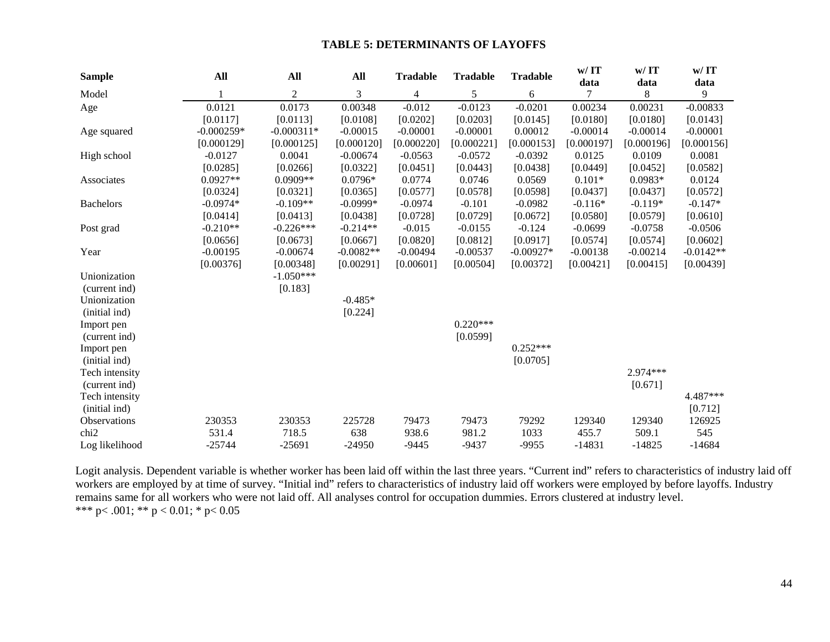## **TABLE 5: DETERMINANTS OF LAYOFFS**

| <b>Sample</b>    | All          | All            | All         | <b>Tradable</b> | <b>Tradable</b> | <b>Tradable</b> | $w/$ IT    | $w/$ IT    | $w/$ IT     |
|------------------|--------------|----------------|-------------|-----------------|-----------------|-----------------|------------|------------|-------------|
|                  |              |                |             |                 |                 |                 | data       | data       | data        |
| Model            |              | $\mathfrak{2}$ | 3           | 4               | 5               | 6               | 7          | 8          | 9           |
| Age              | 0.0121       | 0.0173         | 0.00348     | $-0.012$        | $-0.0123$       | $-0.0201$       | 0.00234    | 0.00231    | $-0.00833$  |
|                  | [0.0117]     | [0.0113]       | [0.0108]    | [0.0202]        | [0.0203]        | [0.0145]        | [0.0180]   | [0.0180]   | [0.0143]    |
| Age squared      | $-0.000259*$ | $-0.000311*$   | $-0.00015$  | $-0.00001$      | $-0.00001$      | 0.00012         | $-0.00014$ | $-0.00014$ | $-0.00001$  |
|                  | [0.000129]   | [0.000125]     | [0.000120]  | [0.000220]      | [0.000221]      | [0.000153]      | [0.000197] | [0.000196] | [0.000156]  |
| High school      | $-0.0127$    | 0.0041         | $-0.00674$  | $-0.0563$       | $-0.0572$       | $-0.0392$       | 0.0125     | 0.0109     | 0.0081      |
|                  | [0.0285]     | [0.0266]       | [0.0322]    | [0.0451]        | [0.0443]        | [0.0438]        | [0.0449]   | [0.0452]   | [0.0582]    |
| Associates       | $0.0927**$   | $0.0909**$     | $0.0796*$   | 0.0774          | 0.0746          | 0.0569          | $0.101*$   | 0.0983*    | 0.0124      |
|                  | [0.0324]     | [0.0321]       | [0.0365]    | [0.0577]        | [0.0578]        | [0.0598]        | [0.0437]   | [0.0437]   | [0.0572]    |
| <b>Bachelors</b> | $-0.0974*$   | $-0.109**$     | $-0.0999*$  | $-0.0974$       | $-0.101$        | $-0.0982$       | $-0.116*$  | $-0.119*$  | $-0.147*$   |
|                  | [0.0414]     | [0.0413]       | [0.0438]    | [0.0728]        | [0.0729]        | [0.0672]        | [0.0580]   | [0.0579]   | [0.0610]    |
| Post grad        | $-0.210**$   | $-0.226***$    | $-0.214**$  | $-0.015$        | $-0.0155$       | $-0.124$        | $-0.0699$  | $-0.0758$  | $-0.0506$   |
|                  | [0.0656]     | [0.0673]       | [0.0667]    | [0.0820]        | [0.0812]        | [0.0917]        | [0.0574]   | [0.0574]   | [0.0602]    |
| Year             | $-0.00195$   | $-0.00674$     | $-0.0082**$ | $-0.00494$      | $-0.00537$      | $-0.00927*$     | $-0.00138$ | $-0.00214$ | $-0.0142**$ |
|                  | [0.00376]    | [0.00348]      | [0.00291]   | [0.00601]       | [0.00504]       | [0.00372]       | [0.00421]  | [0.00415]  | [0.00439]   |
| Unionization     |              | $-1.050***$    |             |                 |                 |                 |            |            |             |
| (current ind)    |              | [0.183]        |             |                 |                 |                 |            |            |             |
| Unionization     |              |                | $-0.485*$   |                 |                 |                 |            |            |             |
| (initial ind)    |              |                | [0.224]     |                 |                 |                 |            |            |             |
| Import pen       |              |                |             |                 | $0.220***$      |                 |            |            |             |
| (current ind)    |              |                |             |                 | [0.0599]        |                 |            |            |             |
| Import pen       |              |                |             |                 |                 | $0.252***$      |            |            |             |
| (initial ind)    |              |                |             |                 |                 | [0.0705]        |            |            |             |
| Tech intensity   |              |                |             |                 |                 |                 |            | 2.974***   |             |
| (current ind)    |              |                |             |                 |                 |                 |            | [0.671]    |             |
| Tech intensity   |              |                |             |                 |                 |                 |            |            | 4.487***    |
| (initial ind)    |              |                |             |                 |                 |                 |            |            | [0.712]     |
| Observations     | 230353       | 230353         | 225728      | 79473           | 79473           | 79292           | 129340     | 129340     | 126925      |
| chi <sub>2</sub> | 531.4        | 718.5          | 638         | 938.6           | 981.2           | 1033            | 455.7      | 509.1      | 545         |
| Log likelihood   | $-25744$     | $-25691$       | $-24950$    | $-9445$         | $-9437$         | $-9955$         | $-14831$   | $-14825$   | $-14684$    |

Logit analysis. Dependent variable is whether worker has been laid off within the last three years. "Current ind" refers to characteristics of industry laid off workers are employed by at time of survey. "Initial ind" refers to characteristics of industry laid off workers were employed by before layoffs. Industry remains same for all workers who were not laid off. All analyses control for occupation dummies. Errors clustered at industry level. \*\*\* p < .001; \*\* p < 0.01; \* p < 0.05